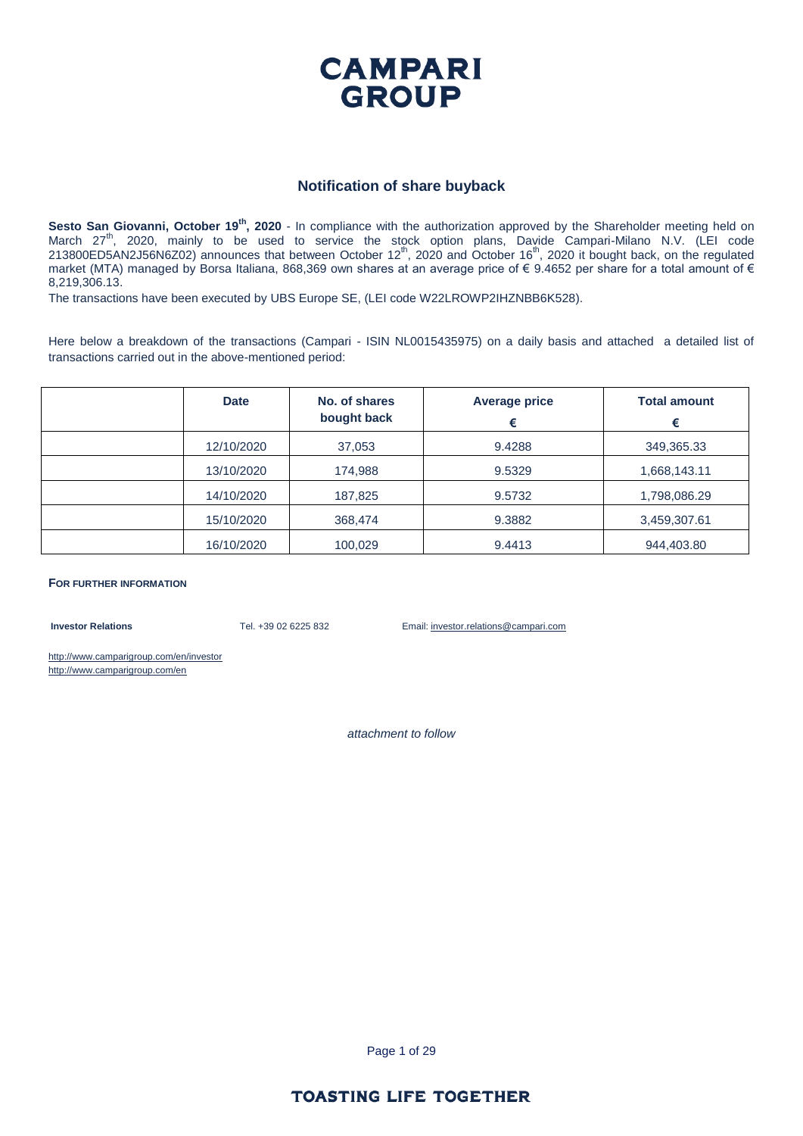

#### **Notification of share buyback**

Sesto San Giovanni, October 19<sup>th</sup>, 2020 - In compliance with the authorization approved by the Shareholder meeting held on March 27<sup>th</sup>, 2020, mainly to be used to service the stock option plans, Davide Campari-Milano N.V. (LEI code 213800ED5AN2J56N6Z02) announces that between October 12<sup>th</sup>, 2020 and October 16<sup>th</sup>, 2020 it bought back, on the regulated market (MTA) managed by Borsa Italiana, 868,369 own shares at an average price of € 9.4652 per share for a total amount of € 8,219,306.13.

The transactions have been executed by UBS Europe SE, (LEI code W22LROWP2IHZNBB6K528).

Here below a breakdown of the transactions (Campari - ISIN NL0015435975) on a daily basis and attached a detailed list of transactions carried out in the above-mentioned period:

| <b>Date</b> | No. of shares<br>bought back | <b>Average price</b><br>€ | <b>Total amount</b><br>€ |
|-------------|------------------------------|---------------------------|--------------------------|
| 12/10/2020  | 37,053                       | 9.4288                    | 349,365.33               |
| 13/10/2020  | 174,988                      | 9.5329                    | 1,668,143.11             |
| 14/10/2020  | 187,825                      | 9.5732                    | 1,798,086.29             |
| 15/10/2020  | 368,474                      | 9.3882                    | 3,459,307.61             |
| 16/10/2020  | 100,029                      | 9.4413                    | 944,403.80               |

**FOR FURTHER INFORMATION**

**Investor Relations** Tel. +39 02 6225 832 Email: investor.relations@campari.com

http://www.camparigroup.com/en/investor http://www.camparigroup.com/en

*attachment to follow*

Page 1 of 29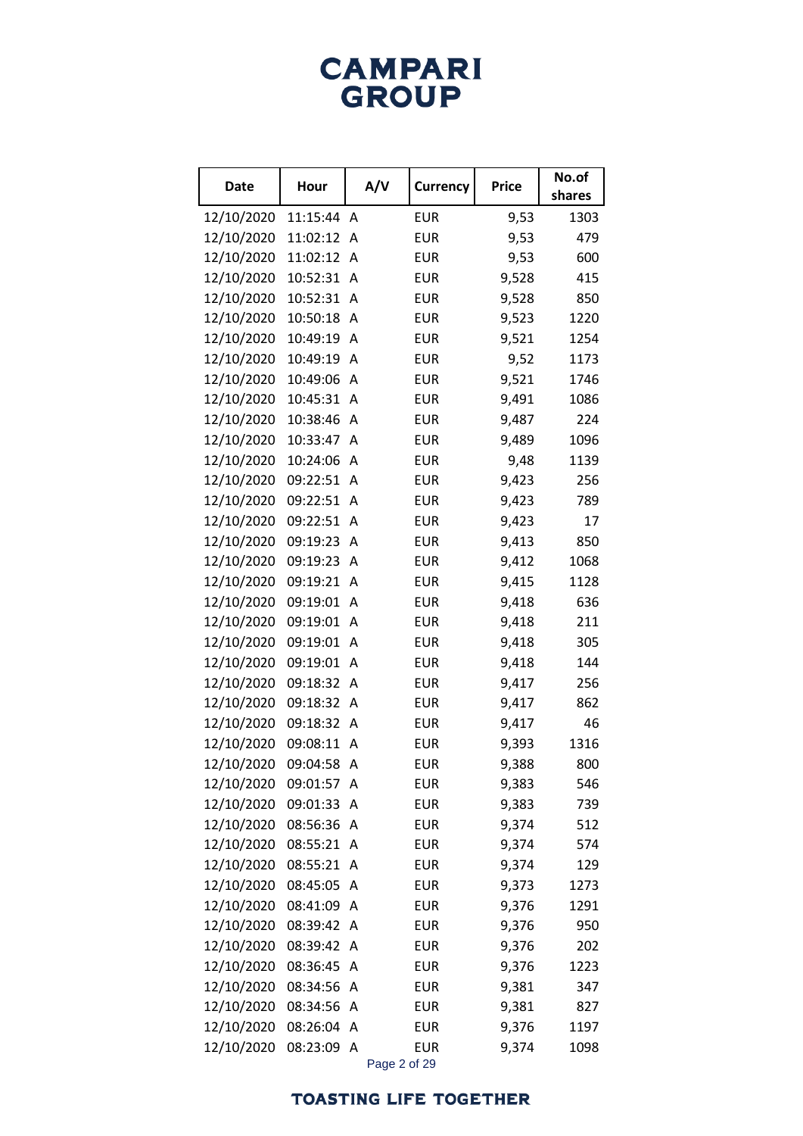| <b>Date</b> | Hour     | A/V | <b>Currency</b> | <b>Price</b> | No.of  |
|-------------|----------|-----|-----------------|--------------|--------|
|             |          |     |                 |              | shares |
| 12/10/2020  | 11:15:44 | A   | <b>EUR</b>      | 9,53         | 1303   |
| 12/10/2020  | 11:02:12 | A   | <b>EUR</b>      | 9,53         | 479    |
| 12/10/2020  | 11:02:12 | A   | <b>EUR</b>      | 9,53         | 600    |
| 12/10/2020  | 10:52:31 | Α   | <b>EUR</b>      | 9,528        | 415    |
| 12/10/2020  | 10:52:31 | Α   | <b>EUR</b>      | 9,528        | 850    |
| 12/10/2020  | 10:50:18 | A   | <b>EUR</b>      | 9,523        | 1220   |
| 12/10/2020  | 10:49:19 | A   | <b>EUR</b>      | 9,521        | 1254   |
| 12/10/2020  | 10:49:19 | Α   | <b>EUR</b>      | 9,52         | 1173   |
| 12/10/2020  | 10:49:06 | A   | <b>EUR</b>      | 9,521        | 1746   |
| 12/10/2020  | 10:45:31 | Α   | <b>EUR</b>      | 9,491        | 1086   |
| 12/10/2020  | 10:38:46 | A   | <b>EUR</b>      | 9,487        | 224    |
| 12/10/2020  | 10:33:47 | Α   | <b>EUR</b>      | 9,489        | 1096   |
| 12/10/2020  | 10:24:06 | A   | <b>EUR</b>      | 9,48         | 1139   |
| 12/10/2020  | 09:22:51 | A   | <b>EUR</b>      | 9,423        | 256    |
| 12/10/2020  | 09:22:51 | A   | <b>EUR</b>      | 9,423        | 789    |
| 12/10/2020  | 09:22:51 | Α   | <b>EUR</b>      | 9,423        | 17     |
| 12/10/2020  | 09:19:23 | A   | <b>EUR</b>      | 9,413        | 850    |
| 12/10/2020  | 09:19:23 | A   | <b>EUR</b>      | 9,412        | 1068   |
| 12/10/2020  | 09:19:21 | A   | <b>EUR</b>      | 9,415        | 1128   |
| 12/10/2020  | 09:19:01 | A   | <b>EUR</b>      | 9,418        | 636    |
| 12/10/2020  | 09:19:01 | Α   | <b>EUR</b>      | 9,418        | 211    |
| 12/10/2020  | 09:19:01 | A   | <b>EUR</b>      | 9,418        | 305    |
| 12/10/2020  | 09:19:01 | Α   | <b>EUR</b>      | 9,418        | 144    |
| 12/10/2020  | 09:18:32 | A   | <b>EUR</b>      | 9,417        | 256    |
| 12/10/2020  | 09:18:32 | Α   | <b>EUR</b>      | 9,417        | 862    |
| 12/10/2020  | 09:18:32 | A   | <b>EUR</b>      | 9,417        | 46     |
| 12/10/2020  | 09:08:11 | Α   | <b>EUR</b>      | 9,393        | 1316   |
| 12/10/2020  | 09:04:58 | Α   | <b>EUR</b>      | 9,388        | 800    |
| 12/10/2020  | 09:01:57 | Α   | <b>EUR</b>      | 9,383        | 546    |
| 12/10/2020  | 09:01:33 | A   | <b>EUR</b>      | 9,383        | 739    |
| 12/10/2020  | 08:56:36 | Α   | <b>EUR</b>      | 9,374        | 512    |
| 12/10/2020  | 08:55:21 | A   | <b>EUR</b>      | 9,374        | 574    |
| 12/10/2020  | 08:55:21 | Α   | <b>EUR</b>      | 9,374        | 129    |
| 12/10/2020  | 08:45:05 | A   | <b>EUR</b>      | 9,373        | 1273   |
| 12/10/2020  | 08:41:09 | A   | <b>EUR</b>      | 9,376        | 1291   |
| 12/10/2020  | 08:39:42 | Α   | <b>EUR</b>      | 9,376        | 950    |
| 12/10/2020  | 08:39:42 | Α   | <b>EUR</b>      | 9,376        | 202    |
| 12/10/2020  | 08:36:45 | A   | <b>EUR</b>      | 9,376        | 1223   |
| 12/10/2020  | 08:34:56 | Α   | <b>EUR</b>      | 9,381        | 347    |
| 12/10/2020  | 08:34:56 | A   | <b>EUR</b>      | 9,381        | 827    |
| 12/10/2020  | 08:26:04 | Α   | <b>EUR</b>      | 9,376        | 1197   |
| 12/10/2020  | 08:23:09 | Α   | <b>EUR</b>      | 9,374        | 1098   |

Page 2 of 29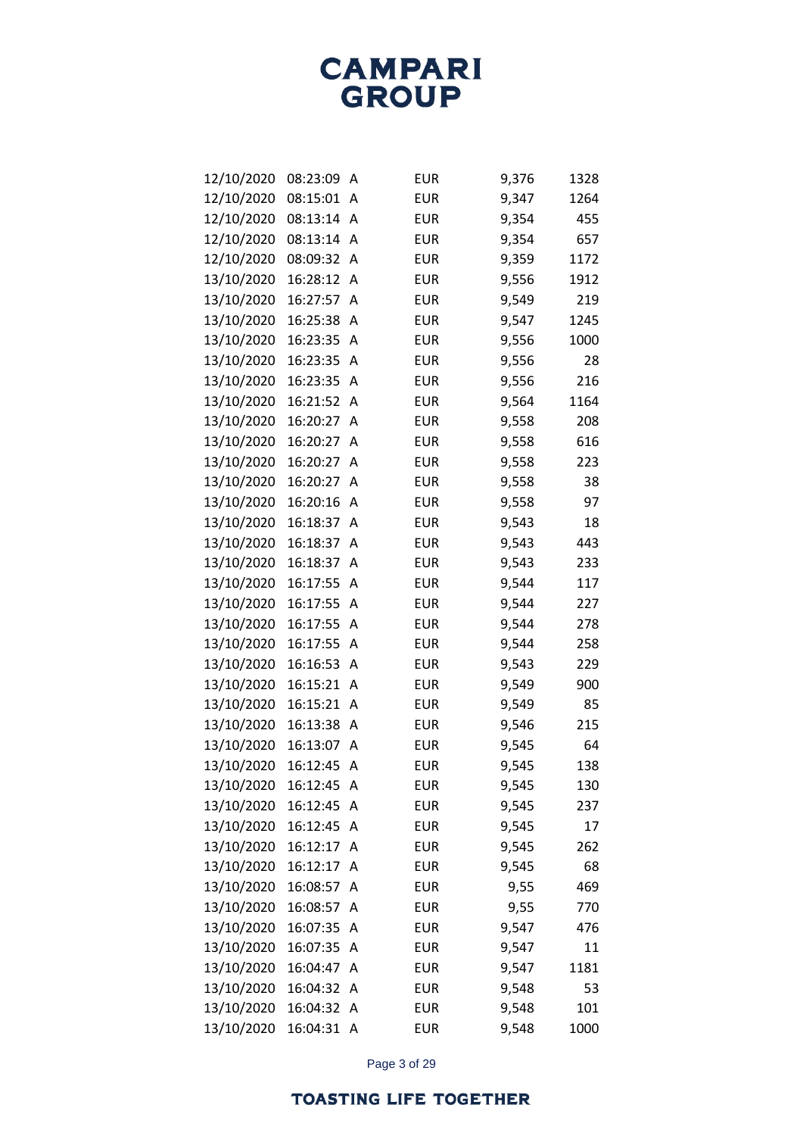## **TOASTING LIFE TOGETHER**

| 12/10/2020 | 08:15:01 | A | <b>EUR</b> | 9,347 | 1264 |
|------------|----------|---|------------|-------|------|
| 12/10/2020 | 08:13:14 | Α | <b>EUR</b> | 9,354 | 455  |
| 12/10/2020 | 08:13:14 | A | <b>EUR</b> | 9,354 | 657  |
| 12/10/2020 | 08:09:32 | Α | <b>EUR</b> | 9,359 | 1172 |
| 13/10/2020 | 16:28:12 | A | <b>EUR</b> | 9,556 | 1912 |
| 13/10/2020 | 16:27:57 | A | <b>EUR</b> | 9,549 | 219  |
| 13/10/2020 | 16:25:38 | A | <b>EUR</b> | 9,547 | 1245 |
| 13/10/2020 | 16:23:35 | A | <b>EUR</b> | 9,556 | 1000 |
| 13/10/2020 | 16:23:35 | A | <b>EUR</b> | 9,556 | 28   |
| 13/10/2020 | 16:23:35 | A | <b>EUR</b> | 9,556 | 216  |
| 13/10/2020 | 16:21:52 | A | <b>EUR</b> | 9,564 | 1164 |
| 13/10/2020 | 16:20:27 | A | <b>EUR</b> | 9,558 | 208  |
| 13/10/2020 | 16:20:27 | Α | <b>EUR</b> | 9,558 | 616  |
| 13/10/2020 | 16:20:27 | Α | <b>EUR</b> | 9,558 | 223  |
| 13/10/2020 | 16:20:27 | Α | <b>EUR</b> | 9,558 | 38   |
| 13/10/2020 | 16:20:16 | Α | <b>EUR</b> | 9,558 | 97   |
| 13/10/2020 | 16:18:37 | A | <b>EUR</b> | 9,543 | 18   |
| 13/10/2020 | 16:18:37 | Α | <b>EUR</b> | 9,543 | 443  |
| 13/10/2020 | 16:18:37 | A | <b>EUR</b> | 9,543 | 233  |
| 13/10/2020 | 16:17:55 | Α | <b>EUR</b> | 9,544 | 117  |
| 13/10/2020 | 16:17:55 | A | <b>EUR</b> | 9,544 | 227  |
| 13/10/2020 | 16:17:55 | Α | <b>EUR</b> | 9,544 | 278  |
| 13/10/2020 | 16:17:55 | A | <b>EUR</b> | 9,544 | 258  |
| 13/10/2020 | 16:16:53 | Α | <b>EUR</b> | 9,543 | 229  |
| 13/10/2020 | 16:15:21 | A | <b>EUR</b> | 9,549 | 900  |
| 13/10/2020 | 16:15:21 | A | <b>EUR</b> | 9,549 | 85   |
| 13/10/2020 | 16:13:38 | A | <b>EUR</b> | 9,546 | 215  |
| 13/10/2020 | 16:13:07 | A | <b>EUR</b> | 9,545 | 64   |
| 13/10/2020 | 16:12:45 | A | <b>EUR</b> | 9,545 | 138  |
| 13/10/2020 | 16:12:45 | Α | <b>EUR</b> | 9,545 | 130  |
| 13/10/2020 | 16:12:45 | A | <b>EUR</b> | 9,545 | 237  |
| 13/10/2020 | 16:12:45 | Α | <b>EUR</b> | 9,545 | 17   |
| 13/10/2020 | 16:12:17 | A | <b>EUR</b> | 9,545 | 262  |
| 13/10/2020 | 16:12:17 | A | <b>EUR</b> | 9,545 | 68   |
| 13/10/2020 | 16:08:57 | Α | <b>EUR</b> | 9,55  | 469  |
| 13/10/2020 | 16:08:57 | Α | <b>EUR</b> | 9,55  | 770  |
| 13/10/2020 | 16:07:35 | A | <b>EUR</b> | 9,547 | 476  |
| 13/10/2020 | 16:07:35 | Α | <b>EUR</b> | 9,547 | 11   |
| 13/10/2020 | 16:04:47 | Α | <b>EUR</b> | 9,547 | 1181 |
| 13/10/2020 | 16:04:32 | Α | <b>EUR</b> | 9,548 | 53   |
| 13/10/2020 | 16:04:32 | A | <b>EUR</b> | 9,548 | 101  |
| 13/10/2020 | 16:04:31 | A | <b>EUR</b> | 9,548 | 1000 |
|            |          |   |            |       |      |

**CAMPARI GROUP** 

12/10/2020 08:23:09 A EUR 9,376 1328

Page 3 of 29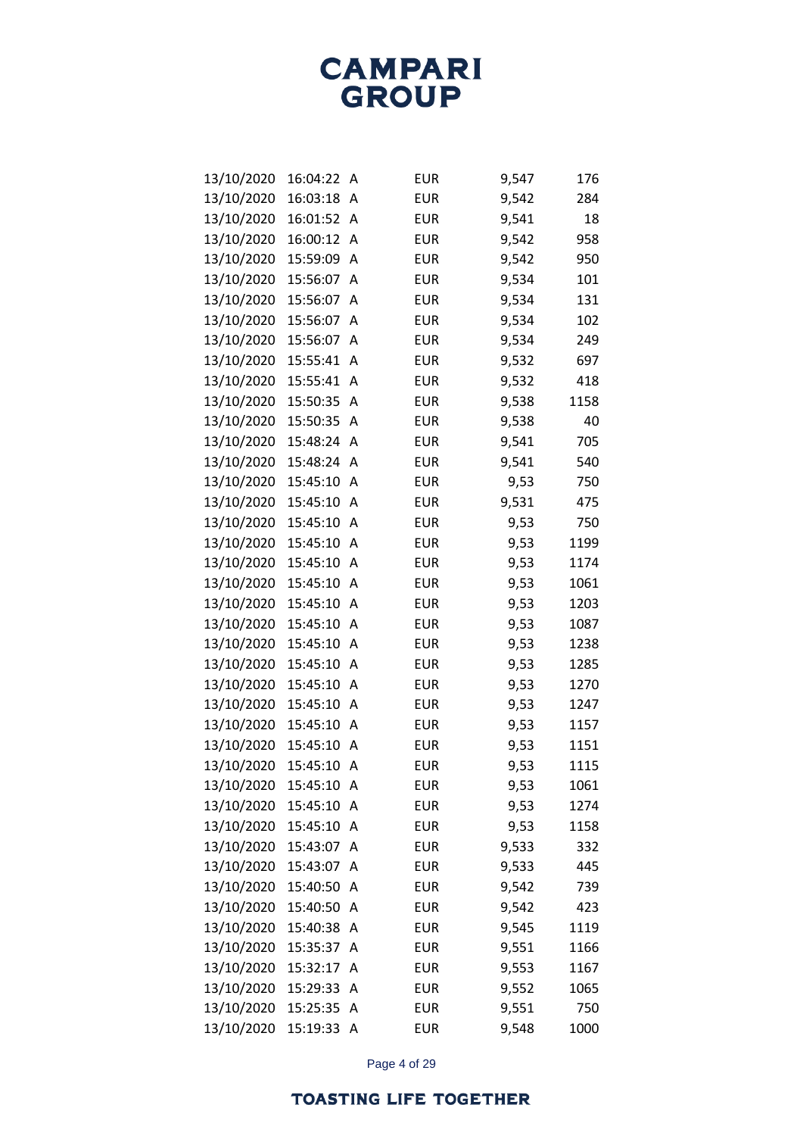| 13/10/2020 | 16:04:22 | Α | <b>EUR</b> | 9,547 | 176  |
|------------|----------|---|------------|-------|------|
| 13/10/2020 | 16:03:18 | Α | <b>EUR</b> | 9,542 | 284  |
| 13/10/2020 | 16:01:52 | A | <b>EUR</b> | 9,541 | 18   |
| 13/10/2020 | 16:00:12 | Α | <b>EUR</b> | 9,542 | 958  |
| 13/10/2020 | 15:59:09 | А | <b>EUR</b> | 9,542 | 950  |
| 13/10/2020 | 15:56:07 | A | <b>EUR</b> | 9,534 | 101  |
| 13/10/2020 | 15:56:07 | A | <b>EUR</b> | 9,534 | 131  |
| 13/10/2020 | 15:56:07 | A | <b>EUR</b> | 9,534 | 102  |
| 13/10/2020 | 15:56:07 | A | <b>EUR</b> | 9,534 | 249  |
| 13/10/2020 | 15:55:41 | A | <b>EUR</b> | 9,532 | 697  |
| 13/10/2020 | 15:55:41 | Α | <b>EUR</b> | 9,532 | 418  |
| 13/10/2020 | 15:50:35 | A | <b>EUR</b> | 9,538 | 1158 |
| 13/10/2020 | 15:50:35 | A | <b>EUR</b> | 9,538 | 40   |
| 13/10/2020 | 15:48:24 | Α | <b>EUR</b> | 9,541 | 705  |
| 13/10/2020 | 15:48:24 | A | <b>EUR</b> | 9,541 | 540  |
| 13/10/2020 | 15:45:10 | Α | <b>EUR</b> | 9,53  | 750  |
| 13/10/2020 | 15:45:10 | A | <b>EUR</b> | 9,531 | 475  |
| 13/10/2020 | 15:45:10 | A | <b>EUR</b> | 9,53  | 750  |
| 13/10/2020 | 15:45:10 | A | <b>EUR</b> | 9,53  | 1199 |
| 13/10/2020 | 15:45:10 | Α | <b>EUR</b> | 9,53  | 1174 |
| 13/10/2020 | 15:45:10 | A | <b>EUR</b> | 9,53  | 1061 |
| 13/10/2020 | 15:45:10 | A | <b>EUR</b> | 9,53  | 1203 |
| 13/10/2020 | 15:45:10 | A | <b>EUR</b> | 9,53  | 1087 |
| 13/10/2020 | 15:45:10 | A | <b>EUR</b> | 9,53  | 1238 |
| 13/10/2020 | 15:45:10 | A | <b>EUR</b> | 9,53  | 1285 |
| 13/10/2020 | 15:45:10 | A | <b>EUR</b> | 9,53  | 1270 |
| 13/10/2020 | 15:45:10 | A | <b>EUR</b> | 9,53  | 1247 |
| 13/10/2020 | 15:45:10 | A | <b>EUR</b> | 9,53  | 1157 |
| 13/10/2020 | 15:45:10 | A | <b>EUR</b> | 9,53  | 1151 |
| 13/10/2020 | 15:45:10 | A | <b>EUR</b> | 9,53  | 1115 |
| 13/10/2020 | 15:45:10 | Α | <b>EUR</b> | 9,53  | 1061 |
| 13/10/2020 | 15:45:10 | Α | <b>EUR</b> | 9,53  | 1274 |
| 13/10/2020 | 15:45:10 | Α | <b>EUR</b> | 9,53  | 1158 |
| 13/10/2020 | 15:43:07 | Α | <b>EUR</b> | 9,533 | 332  |
| 13/10/2020 | 15:43:07 | Α | <b>EUR</b> | 9,533 | 445  |
| 13/10/2020 | 15:40:50 | Α | <b>EUR</b> | 9,542 | 739  |
| 13/10/2020 | 15:40:50 | A | <b>EUR</b> | 9,542 | 423  |
| 13/10/2020 | 15:40:38 | Α | <b>EUR</b> | 9,545 | 1119 |
| 13/10/2020 | 15:35:37 | Α | <b>EUR</b> | 9,551 | 1166 |
| 13/10/2020 | 15:32:17 | Α | <b>EUR</b> | 9,553 | 1167 |
| 13/10/2020 | 15:29:33 | Α | <b>EUR</b> | 9,552 | 1065 |
| 13/10/2020 | 15:25:35 | Α | <b>EUR</b> | 9,551 | 750  |
| 13/10/2020 | 15:19:33 | A | <b>EUR</b> | 9,548 | 1000 |

Page 4 of 29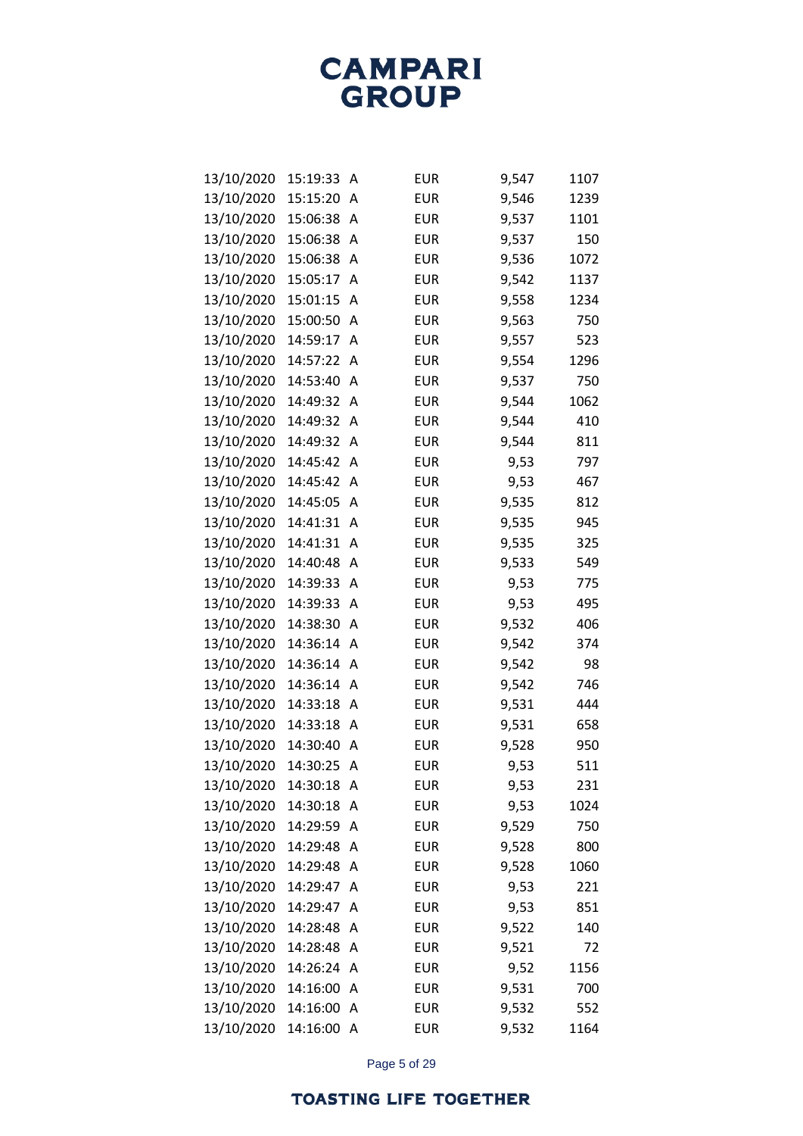**CAMPARI**<br>GROUP

| 13/10/2020 | 15:19:33 | A | <b>EUR</b> | 9,547 | 1107 |
|------------|----------|---|------------|-------|------|
| 13/10/2020 | 15:15:20 | A | <b>EUR</b> | 9,546 | 1239 |
| 13/10/2020 | 15:06:38 | Α | <b>EUR</b> | 9,537 | 1101 |
| 13/10/2020 | 15:06:38 | А | <b>EUR</b> | 9,537 | 150  |
| 13/10/2020 | 15:06:38 | А | <b>EUR</b> | 9,536 | 1072 |
| 13/10/2020 | 15:05:17 | A | <b>EUR</b> | 9,542 | 1137 |
| 13/10/2020 | 15:01:15 | Α | <b>EUR</b> | 9,558 | 1234 |
| 13/10/2020 | 15:00:50 | Α | <b>EUR</b> | 9,563 | 750  |
| 13/10/2020 | 14:59:17 | Α | <b>EUR</b> | 9,557 | 523  |
| 13/10/2020 | 14:57:22 | A | <b>EUR</b> | 9,554 | 1296 |
| 13/10/2020 | 14:53:40 | Α | <b>EUR</b> | 9,537 | 750  |
| 13/10/2020 | 14:49:32 | Α | <b>EUR</b> | 9,544 | 1062 |
| 13/10/2020 | 14:49:32 | A | <b>EUR</b> | 9,544 | 410  |
| 13/10/2020 | 14:49:32 | A | <b>EUR</b> | 9,544 | 811  |
| 13/10/2020 | 14:45:42 | Α | <b>EUR</b> | 9,53  | 797  |
| 13/10/2020 | 14:45:42 | A | <b>EUR</b> | 9,53  | 467  |
| 13/10/2020 | 14:45:05 | A | <b>EUR</b> | 9,535 | 812  |
| 13/10/2020 | 14:41:31 | A | <b>EUR</b> | 9,535 | 945  |
| 13/10/2020 | 14:41:31 | Α | <b>EUR</b> | 9,535 | 325  |
| 13/10/2020 | 14:40:48 | A | <b>EUR</b> | 9,533 | 549  |
| 13/10/2020 | 14:39:33 | A | <b>EUR</b> | 9,53  | 775  |
| 13/10/2020 | 14:39:33 | A | <b>EUR</b> | 9,53  | 495  |
| 13/10/2020 | 14:38:30 | Α | <b>EUR</b> | 9,532 | 406  |
| 13/10/2020 | 14:36:14 | A | <b>EUR</b> | 9,542 | 374  |
| 13/10/2020 | 14:36:14 | A | <b>EUR</b> | 9,542 | 98   |
| 13/10/2020 | 14:36:14 | A | <b>EUR</b> | 9,542 | 746  |
| 13/10/2020 | 14:33:18 | A | <b>EUR</b> | 9,531 | 444  |
| 13/10/2020 | 14:33:18 | A | <b>EUR</b> | 9,531 | 658  |
| 13/10/2020 | 14:30:40 | A | <b>EUR</b> | 9,528 | 950  |
| 13/10/2020 | 14:30:25 | A | <b>EUR</b> | 9,53  | 511  |
| 13/10/2020 | 14:30:18 | Α | <b>EUR</b> | 9,53  | 231  |
| 13/10/2020 | 14:30:18 | Α | <b>EUR</b> | 9,53  | 1024 |
| 13/10/2020 | 14:29:59 | A | <b>EUR</b> | 9,529 | 750  |
| 13/10/2020 | 14:29:48 | Α | <b>EUR</b> | 9,528 | 800  |
| 13/10/2020 | 14:29:48 | Α | <b>EUR</b> | 9,528 | 1060 |
| 13/10/2020 | 14:29:47 | Α | <b>EUR</b> | 9,53  | 221  |
| 13/10/2020 | 14:29:47 | A | <b>EUR</b> | 9,53  | 851  |
| 13/10/2020 | 14:28:48 | Α | <b>EUR</b> | 9,522 | 140  |
| 13/10/2020 | 14:28:48 | Α | <b>EUR</b> | 9,521 | 72   |
| 13/10/2020 | 14:26:24 | Α | <b>EUR</b> | 9,52  | 1156 |
| 13/10/2020 | 14:16:00 | A | <b>EUR</b> | 9,531 | 700  |
| 13/10/2020 | 14:16:00 | Α | <b>EUR</b> | 9,532 | 552  |
| 13/10/2020 | 14:16:00 | Α | <b>EUR</b> | 9,532 | 1164 |
|            |          |   |            |       |      |

Page 5 of 29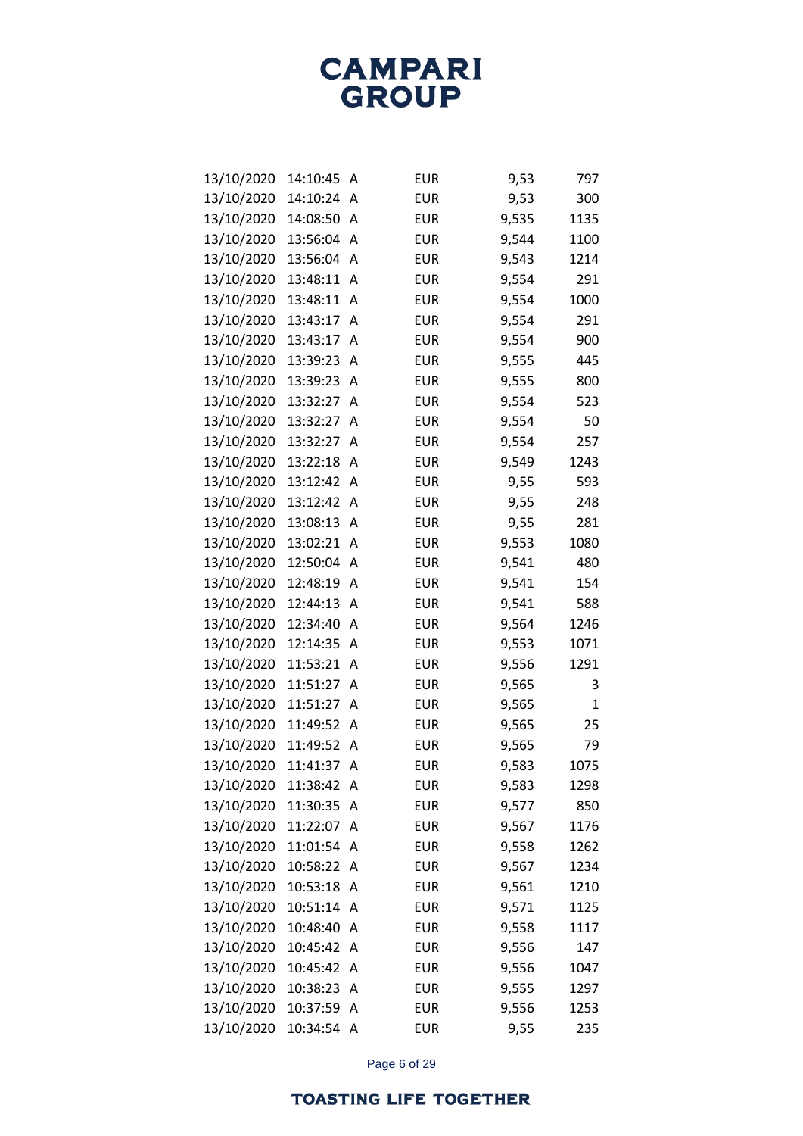| 13/10/2020 | 14:10:45 | Α | <b>EUR</b> | 9,53  | 797         |
|------------|----------|---|------------|-------|-------------|
| 13/10/2020 | 14:10:24 | Α | <b>EUR</b> | 9,53  | 300         |
| 13/10/2020 | 14:08:50 | Α | <b>EUR</b> | 9,535 | 1135        |
| 13/10/2020 | 13:56:04 | Α | <b>EUR</b> | 9,544 | 1100        |
| 13/10/2020 | 13:56:04 | Α | <b>EUR</b> | 9,543 | 1214        |
| 13/10/2020 | 13:48:11 | Α | <b>EUR</b> | 9,554 | 291         |
| 13/10/2020 | 13:48:11 | Α | <b>EUR</b> | 9,554 | 1000        |
| 13/10/2020 | 13:43:17 | Α | <b>EUR</b> | 9,554 | 291         |
| 13/10/2020 | 13:43:17 | A | <b>EUR</b> | 9,554 | 900         |
| 13/10/2020 | 13:39:23 | A | <b>EUR</b> | 9,555 | 445         |
| 13/10/2020 | 13:39:23 | A | <b>EUR</b> | 9,555 | 800         |
| 13/10/2020 | 13:32:27 | A | <b>EUR</b> | 9,554 | 523         |
| 13/10/2020 | 13:32:27 | A | <b>EUR</b> | 9,554 | 50          |
| 13/10/2020 | 13:32:27 | Α | <b>EUR</b> | 9,554 | 257         |
| 13/10/2020 | 13:22:18 | A | <b>EUR</b> | 9,549 | 1243        |
| 13/10/2020 | 13:12:42 | Α | <b>EUR</b> | 9,55  | 593         |
| 13/10/2020 | 13:12:42 | A | <b>EUR</b> | 9,55  | 248         |
| 13/10/2020 | 13:08:13 | Α | <b>EUR</b> | 9,55  | 281         |
| 13/10/2020 | 13:02:21 | Α | <b>EUR</b> | 9,553 | 1080        |
| 13/10/2020 | 12:50:04 | Α | <b>EUR</b> | 9,541 | 480         |
| 13/10/2020 | 12:48:19 | A | <b>EUR</b> | 9,541 | 154         |
| 13/10/2020 | 12:44:13 | A | <b>EUR</b> | 9,541 | 588         |
| 13/10/2020 | 12:34:40 | A | <b>EUR</b> | 9,564 | 1246        |
| 13/10/2020 | 12:14:35 | Α | <b>EUR</b> | 9,553 | 1071        |
| 13/10/2020 | 11:53:21 | A | <b>EUR</b> | 9,556 | 1291        |
| 13/10/2020 | 11:51:27 | Α | <b>EUR</b> | 9,565 | 3           |
| 13/10/2020 | 11:51:27 | A | <b>EUR</b> | 9,565 | $\mathbf 1$ |
| 13/10/2020 | 11:49:52 | Α | <b>EUR</b> | 9,565 | 25          |
| 13/10/2020 | 11:49:52 | A | <b>EUR</b> | 9,565 | 79          |
| 13/10/2020 | 11:41:37 | Α | <b>EUR</b> | 9,583 | 1075        |
| 13/10/2020 | 11:38:42 | А | <b>EUR</b> | 9,583 | 1298        |
| 13/10/2020 | 11:30:35 | A | <b>EUR</b> | 9,577 | 850         |
| 13/10/2020 | 11:22:07 | A | <b>EUR</b> | 9,567 | 1176        |
| 13/10/2020 | 11:01:54 | A | <b>EUR</b> | 9,558 | 1262        |
| 13/10/2020 | 10:58:22 | A | <b>EUR</b> | 9,567 | 1234        |
| 13/10/2020 | 10:53:18 | Α | <b>EUR</b> | 9,561 | 1210        |
| 13/10/2020 | 10:51:14 | A | <b>EUR</b> | 9,571 | 1125        |
| 13/10/2020 | 10:48:40 | Α | <b>EUR</b> | 9,558 | 1117        |
| 13/10/2020 | 10:45:42 | Α | <b>EUR</b> | 9,556 | 147         |
| 13/10/2020 | 10:45:42 | A | <b>EUR</b> | 9,556 | 1047        |
| 13/10/2020 | 10:38:23 | A | <b>EUR</b> | 9,555 | 1297        |
| 13/10/2020 | 10:37:59 | Α | <b>EUR</b> | 9,556 | 1253        |
| 13/10/2020 | 10:34:54 | Α | <b>EUR</b> | 9,55  | 235         |

Page 6 of 29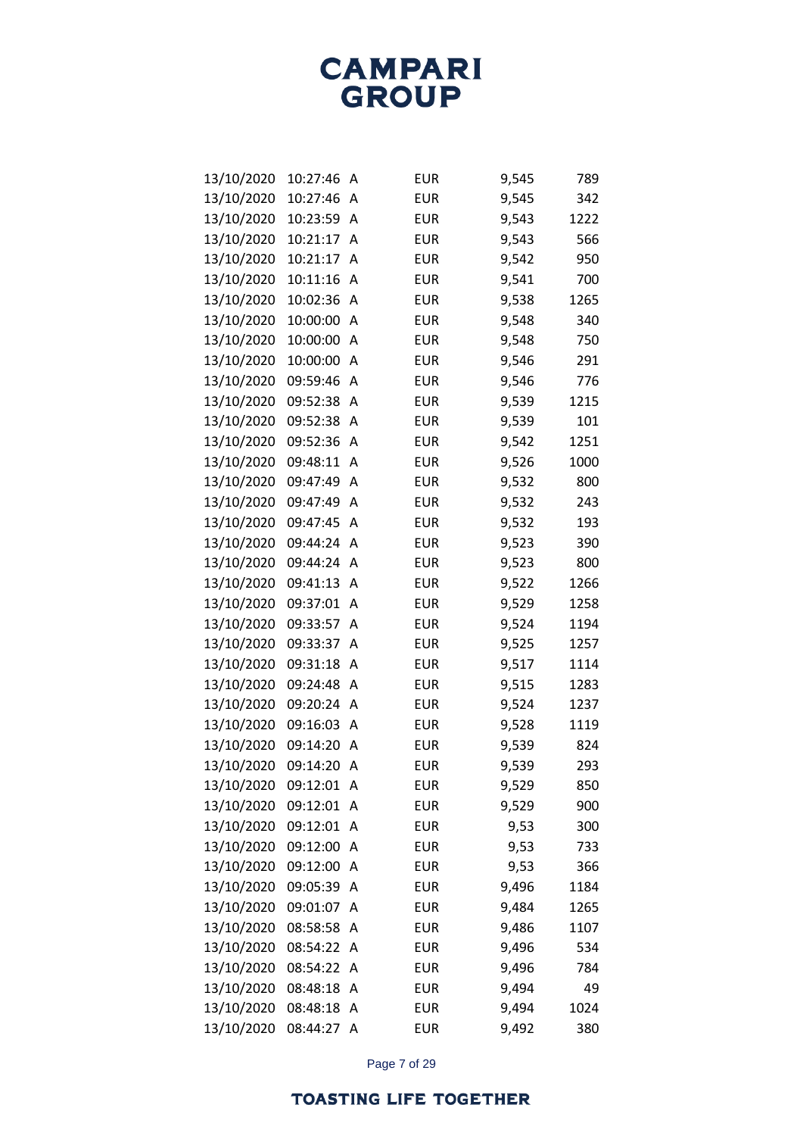#### **TOASTING LIFE TOGETHER**

Page 7 of 29

| 13/10/2020 | 10:21:17 | А | <b>EUR</b> | 9,542 | 950  |
|------------|----------|---|------------|-------|------|
| 13/10/2020 | 10:11:16 | A | <b>EUR</b> | 9,541 | 700  |
| 13/10/2020 | 10:02:36 | Α | <b>EUR</b> | 9,538 | 1265 |
| 13/10/2020 | 10:00:00 | Α | <b>EUR</b> | 9,548 | 340  |
| 13/10/2020 | 10:00:00 | A | <b>EUR</b> | 9,548 | 750  |
| 13/10/2020 | 10:00:00 | Α | <b>EUR</b> | 9,546 | 291  |
| 13/10/2020 | 09:59:46 | Α | <b>EUR</b> | 9,546 | 776  |
| 13/10/2020 | 09:52:38 | Α | <b>EUR</b> | 9,539 | 1215 |
| 13/10/2020 | 09:52:38 | A | <b>EUR</b> | 9,539 | 101  |
| 13/10/2020 | 09:52:36 | A | <b>EUR</b> | 9,542 | 1251 |
| 13/10/2020 | 09:48:11 | Α | <b>EUR</b> | 9,526 | 1000 |
| 13/10/2020 | 09:47:49 | A | <b>EUR</b> | 9,532 | 800  |
| 13/10/2020 | 09:47:49 | Α | <b>EUR</b> | 9,532 | 243  |
| 13/10/2020 | 09:47:45 | Α | <b>EUR</b> | 9,532 | 193  |
| 13/10/2020 | 09:44:24 | Α | <b>EUR</b> | 9,523 | 390  |
| 13/10/2020 | 09:44:24 | Α | <b>EUR</b> | 9,523 | 800  |
| 13/10/2020 | 09:41:13 | Α | <b>EUR</b> | 9,522 | 1266 |
| 13/10/2020 | 09:37:01 | Α | <b>EUR</b> | 9,529 | 1258 |
| 13/10/2020 | 09:33:57 | A | <b>EUR</b> | 9,524 | 1194 |
| 13/10/2020 | 09:33:37 | A | <b>EUR</b> | 9,525 | 1257 |
| 13/10/2020 | 09:31:18 | Α | <b>EUR</b> | 9,517 | 1114 |
| 13/10/2020 | 09:24:48 | Α | <b>EUR</b> | 9,515 | 1283 |
| 13/10/2020 | 09:20:24 | Α | <b>EUR</b> | 9,524 | 1237 |
| 13/10/2020 | 09:16:03 | Α | <b>EUR</b> | 9,528 | 1119 |
| 13/10/2020 | 09:14:20 | A | <b>EUR</b> | 9,539 | 824  |
| 13/10/2020 | 09:14:20 | A | <b>EUR</b> | 9,539 | 293  |
| 13/10/2020 | 09:12:01 | Α | <b>EUR</b> | 9,529 | 850  |
| 13/10/2020 | 09:12:01 | A | <b>EUR</b> | 9,529 | 900  |
| 13/10/2020 | 09:12:01 | Α | <b>EUR</b> | 9,53  | 300  |
| 13/10/2020 | 09:12:00 | Α | <b>EUR</b> | 9,53  | 733  |
| 13/10/2020 | 09:12:00 | Α | <b>EUR</b> | 9,53  | 366  |
| 13/10/2020 | 09:05:39 | A | <b>EUR</b> | 9,496 | 1184 |
| 13/10/2020 | 09:01:07 | A | <b>EUR</b> | 9,484 | 1265 |
| 13/10/2020 | 08:58:58 | A | <b>EUR</b> | 9,486 | 1107 |
| 13/10/2020 | 08:54:22 | Α | <b>EUR</b> | 9,496 | 534  |
| 13/10/2020 | 08:54:22 | A | <b>EUR</b> | 9,496 | 784  |
| 13/10/2020 | 08:48:18 | A | <b>EUR</b> | 9,494 | 49   |
| 13/10/2020 | 08:48:18 | Α | <b>EUR</b> | 9,494 | 1024 |
| 13/10/2020 | 08:44:27 | Α | <b>EUR</b> | 9,492 | 380  |
|            |          |   |            |       |      |

**CAMPARI GROUP** 

13/10/2020 10:27:46 A EUR 9,545 789 13/10/2020 10:27:46 A EUR 9,545 342 13/10/2020 10:23:59 A EUR 9,543 1222 13/10/2020 10:21:17 A EUR 9,543 566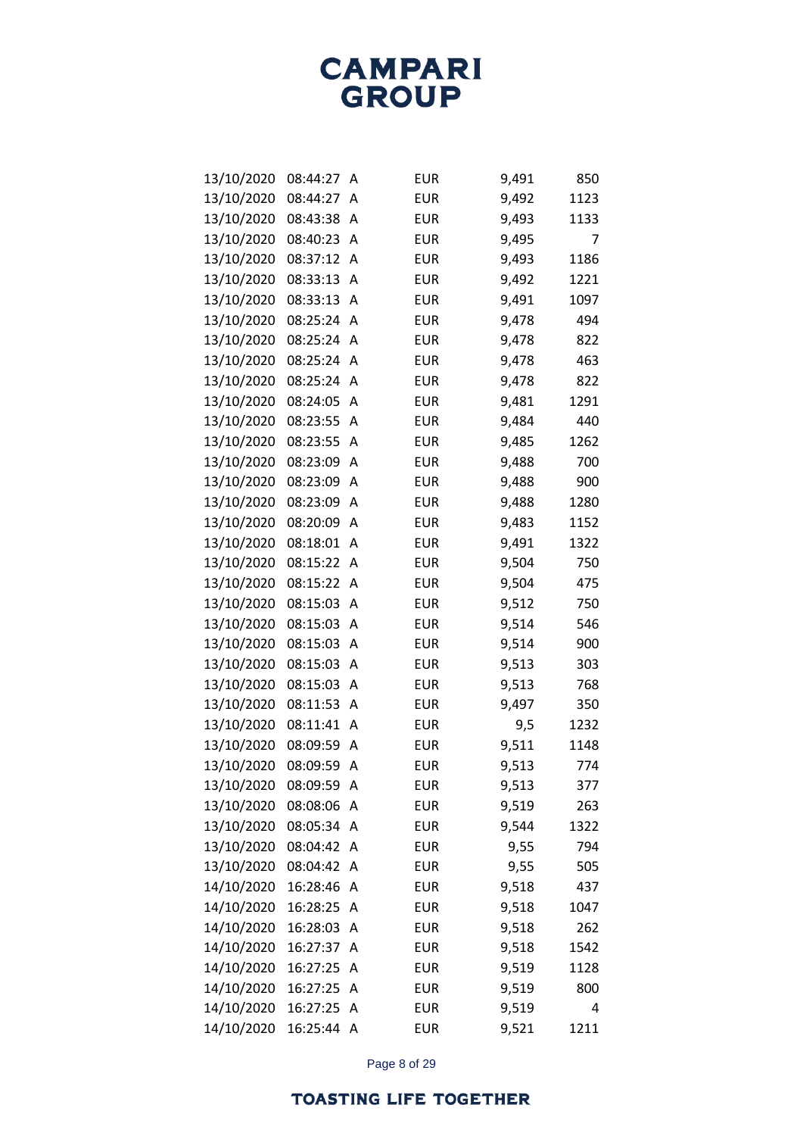| 13/10/2020 | 08:44:27 | Α | <b>EUR</b> | 9,491 | 850  |
|------------|----------|---|------------|-------|------|
| 13/10/2020 | 08:44:27 | A | <b>EUR</b> | 9,492 | 1123 |
| 13/10/2020 | 08:43:38 | A | <b>EUR</b> | 9,493 | 1133 |
| 13/10/2020 | 08:40:23 | A | <b>EUR</b> | 9,495 | 7    |
| 13/10/2020 | 08:37:12 | A | <b>EUR</b> | 9,493 | 1186 |
| 13/10/2020 | 08:33:13 | Α | <b>EUR</b> | 9,492 | 1221 |
| 13/10/2020 | 08:33:13 | Α | <b>EUR</b> | 9,491 | 1097 |
| 13/10/2020 | 08:25:24 | A | <b>EUR</b> | 9,478 | 494  |
| 13/10/2020 | 08:25:24 | A | <b>EUR</b> | 9,478 | 822  |
| 13/10/2020 | 08:25:24 | Α | <b>EUR</b> | 9,478 | 463  |
| 13/10/2020 | 08:25:24 | A | <b>EUR</b> | 9,478 | 822  |
| 13/10/2020 | 08:24:05 | Α | <b>EUR</b> | 9,481 | 1291 |
| 13/10/2020 | 08:23:55 | A | <b>EUR</b> | 9,484 | 440  |
| 13/10/2020 | 08:23:55 | Α | <b>EUR</b> | 9,485 | 1262 |
| 13/10/2020 | 08:23:09 | A | <b>EUR</b> | 9,488 | 700  |
| 13/10/2020 | 08:23:09 | Α | <b>EUR</b> | 9,488 | 900  |
| 13/10/2020 | 08:23:09 | A | <b>EUR</b> | 9,488 | 1280 |
| 13/10/2020 | 08:20:09 | A | <b>EUR</b> | 9,483 | 1152 |
| 13/10/2020 | 08:18:01 | A | <b>EUR</b> | 9,491 | 1322 |
| 13/10/2020 | 08:15:22 | Α | <b>EUR</b> | 9,504 | 750  |
| 13/10/2020 | 08:15:22 | A | <b>EUR</b> | 9,504 | 475  |
| 13/10/2020 | 08:15:03 | Α | <b>EUR</b> | 9,512 | 750  |
| 13/10/2020 | 08:15:03 | A | <b>EUR</b> | 9,514 | 546  |
| 13/10/2020 | 08:15:03 | Α | <b>EUR</b> | 9,514 | 900  |
| 13/10/2020 | 08:15:03 | Α | <b>EUR</b> | 9,513 | 303  |
| 13/10/2020 | 08:15:03 | Α | <b>EUR</b> | 9,513 | 768  |
| 13/10/2020 | 08:11:53 | A | <b>EUR</b> | 9,497 | 350  |
| 13/10/2020 | 08:11:41 | Α | <b>EUR</b> | 9,5   | 1232 |
| 13/10/2020 | 08:09:59 | Α | <b>EUR</b> | 9,511 | 1148 |
| 13/10/2020 | 08:09:59 | Α | <b>EUR</b> | 9,513 | 774  |
| 13/10/2020 | 08:09:59 | А | <b>EUR</b> | 9,513 | 377  |
| 13/10/2020 | 08:08:06 | Α | <b>EUR</b> | 9,519 | 263  |
| 13/10/2020 | 08:05:34 | A | <b>EUR</b> | 9,544 | 1322 |
| 13/10/2020 | 08:04:42 | Α | <b>EUR</b> | 9,55  | 794  |
| 13/10/2020 | 08:04:42 | Α | <b>EUR</b> | 9,55  | 505  |
| 14/10/2020 | 16:28:46 | Α | <b>EUR</b> | 9,518 | 437  |
| 14/10/2020 | 16:28:25 | A | <b>EUR</b> | 9,518 | 1047 |
| 14/10/2020 | 16:28:03 | Α | <b>EUR</b> | 9,518 | 262  |
| 14/10/2020 | 16:27:37 | Α | <b>EUR</b> | 9,518 | 1542 |
| 14/10/2020 | 16:27:25 | Α | <b>EUR</b> | 9,519 | 1128 |
| 14/10/2020 | 16:27:25 | A | <b>EUR</b> | 9,519 | 800  |
| 14/10/2020 | 16:27:25 | Α | <b>EUR</b> | 9,519 | 4    |
| 14/10/2020 | 16:25:44 | Α | <b>EUR</b> | 9,521 | 1211 |

Page 8 of 29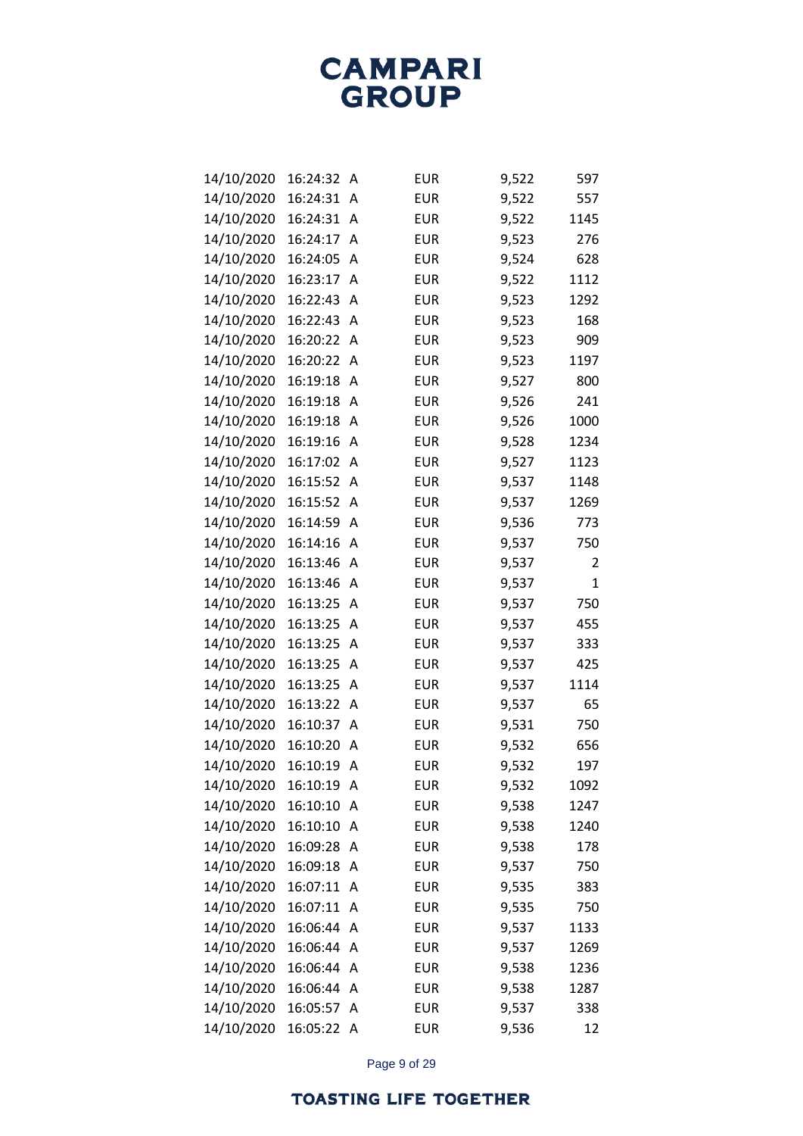| 14/10/2020 | 16:24:32 | A | <b>EUR</b> | 9,522 | 597  |
|------------|----------|---|------------|-------|------|
| 14/10/2020 | 16:24:31 | A | <b>EUR</b> | 9,522 | 557  |
| 14/10/2020 | 16:24:31 | Α | <b>EUR</b> | 9,522 | 1145 |
| 14/10/2020 | 16:24:17 | Α | <b>EUR</b> | 9,523 | 276  |
| 14/10/2020 | 16:24:05 | A | <b>EUR</b> | 9,524 | 628  |
| 14/10/2020 | 16:23:17 | Α | <b>EUR</b> | 9,522 | 1112 |
| 14/10/2020 | 16:22:43 | Α | <b>EUR</b> | 9,523 | 1292 |
| 14/10/2020 | 16:22:43 | Α | <b>EUR</b> | 9,523 | 168  |
| 14/10/2020 | 16:20:22 | Α | <b>EUR</b> | 9,523 | 909  |
| 14/10/2020 | 16:20:22 | Α | <b>EUR</b> | 9,523 | 1197 |
| 14/10/2020 | 16:19:18 | Α | <b>EUR</b> | 9,527 | 800  |
| 14/10/2020 | 16:19:18 | A | <b>EUR</b> | 9,526 | 241  |
| 14/10/2020 | 16:19:18 | A | <b>EUR</b> | 9,526 | 1000 |
| 14/10/2020 | 16:19:16 | Α | <b>EUR</b> | 9,528 | 1234 |
| 14/10/2020 | 16:17:02 | Α | <b>EUR</b> | 9,527 | 1123 |
| 14/10/2020 | 16:15:52 | Α | <b>EUR</b> | 9,537 | 1148 |
| 14/10/2020 | 16:15:52 | Α | <b>EUR</b> | 9,537 | 1269 |
| 14/10/2020 | 16:14:59 | Α | <b>EUR</b> | 9,536 | 773  |
| 14/10/2020 | 16:14:16 | Α | <b>EUR</b> | 9,537 | 750  |
| 14/10/2020 | 16:13:46 | A | <b>EUR</b> | 9,537 | 2    |
| 14/10/2020 | 16:13:46 | A | <b>EUR</b> | 9,537 | 1    |
| 14/10/2020 | 16:13:25 | Α | <b>EUR</b> | 9,537 | 750  |
| 14/10/2020 | 16:13:25 | Α | <b>EUR</b> | 9,537 | 455  |
| 14/10/2020 | 16:13:25 | Α | <b>EUR</b> | 9,537 | 333  |
| 14/10/2020 | 16:13:25 | Α | <b>EUR</b> | 9,537 | 425  |
| 14/10/2020 | 16:13:25 | Α | <b>EUR</b> | 9,537 | 1114 |
| 14/10/2020 | 16:13:22 | Α | <b>EUR</b> | 9,537 | 65   |
| 14/10/2020 | 16:10:37 | Α | <b>EUR</b> | 9,531 | 750  |
| 14/10/2020 | 16:10:20 | Α | <b>EUR</b> | 9,532 | 656  |
| 14/10/2020 | 16:10:19 | A | <b>EUR</b> | 9,532 | 197  |
| 14/10/2020 | 16:10:19 | А | <b>EUR</b> | 9,532 | 1092 |
| 14/10/2020 | 16:10:10 | A | <b>EUR</b> | 9,538 | 1247 |
| 14/10/2020 | 16:10:10 | A | <b>EUR</b> | 9,538 | 1240 |
| 14/10/2020 | 16:09:28 | Α | <b>EUR</b> | 9,538 | 178  |
| 14/10/2020 | 16:09:18 | A | <b>EUR</b> | 9,537 | 750  |
| 14/10/2020 | 16:07:11 | A | <b>EUR</b> | 9,535 | 383  |
| 14/10/2020 | 16:07:11 | A | <b>EUR</b> | 9,535 | 750  |
| 14/10/2020 | 16:06:44 | A | <b>EUR</b> | 9,537 | 1133 |
| 14/10/2020 | 16:06:44 | A | <b>EUR</b> | 9,537 | 1269 |
| 14/10/2020 | 16:06:44 | A | <b>EUR</b> | 9,538 | 1236 |
| 14/10/2020 | 16:06:44 | A | <b>EUR</b> | 9,538 | 1287 |
| 14/10/2020 | 16:05:57 | Α | <b>EUR</b> | 9,537 | 338  |
| 14/10/2020 | 16:05:22 | A | <b>EUR</b> | 9,536 | 12   |

Page 9 of 29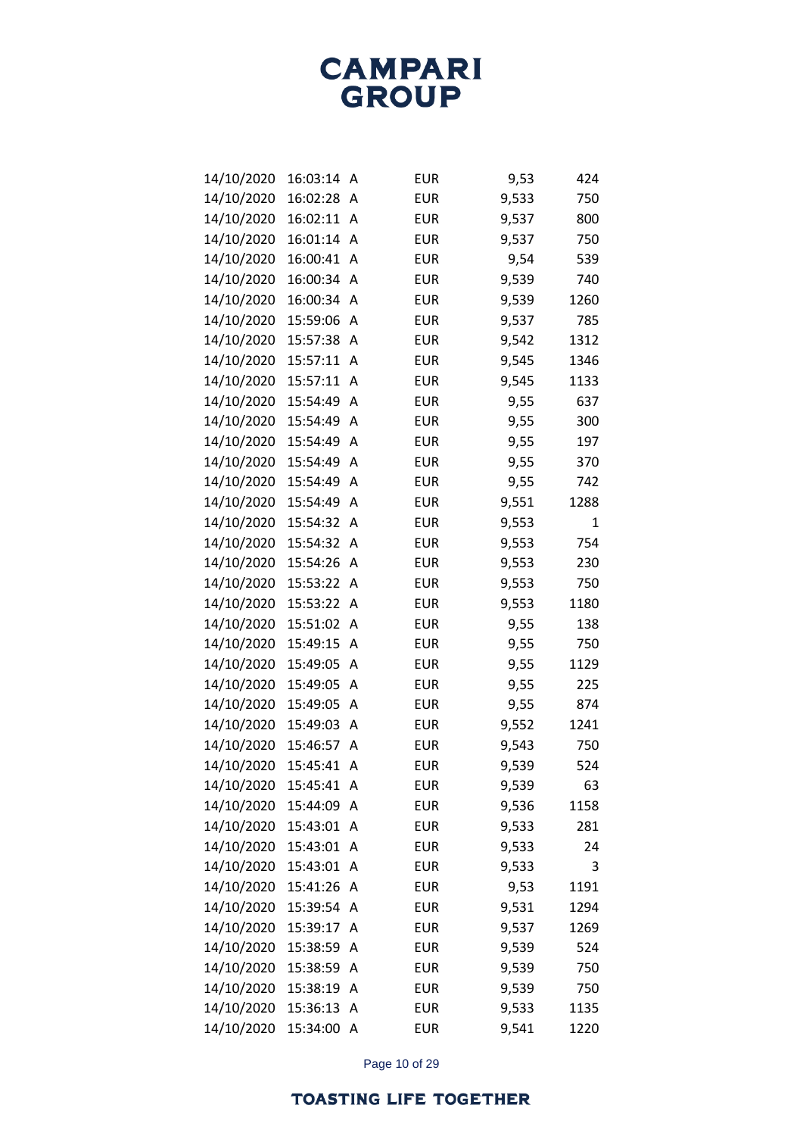| 14/10/2020 | 16:03:14 | Α | <b>EUR</b> | 9,53  | 424  |
|------------|----------|---|------------|-------|------|
| 14/10/2020 | 16:02:28 | A | <b>EUR</b> | 9,533 | 750  |
| 14/10/2020 | 16:02:11 | A | <b>EUR</b> | 9,537 | 800  |
| 14/10/2020 | 16:01:14 | A | <b>EUR</b> | 9,537 | 750  |
| 14/10/2020 | 16:00:41 | A | <b>EUR</b> | 9,54  | 539  |
| 14/10/2020 | 16:00:34 | A | <b>EUR</b> | 9,539 | 740  |
| 14/10/2020 | 16:00:34 | A | <b>EUR</b> | 9,539 | 1260 |
| 14/10/2020 | 15:59:06 | А | <b>EUR</b> | 9,537 | 785  |
| 14/10/2020 | 15:57:38 | Α | <b>EUR</b> | 9,542 | 1312 |
| 14/10/2020 | 15:57:11 | А | <b>EUR</b> | 9,545 | 1346 |
| 14/10/2020 | 15:57:11 | A | <b>EUR</b> | 9,545 | 1133 |
| 14/10/2020 | 15:54:49 | A | <b>EUR</b> | 9,55  | 637  |
| 14/10/2020 | 15:54:49 | A | <b>EUR</b> | 9,55  | 300  |
| 14/10/2020 | 15:54:49 | А | <b>EUR</b> | 9,55  | 197  |
| 14/10/2020 | 15:54:49 | A | <b>EUR</b> | 9,55  | 370  |
| 14/10/2020 | 15:54:49 | А | <b>EUR</b> | 9,55  | 742  |
| 14/10/2020 | 15:54:49 | A | <b>EUR</b> | 9,551 | 1288 |
| 14/10/2020 | 15:54:32 | А | <b>EUR</b> | 9,553 | 1    |
| 14/10/2020 | 15:54:32 | A | <b>EUR</b> | 9,553 | 754  |
| 14/10/2020 | 15:54:26 | А | <b>EUR</b> | 9,553 | 230  |
| 14/10/2020 | 15:53:22 | A | <b>EUR</b> | 9,553 | 750  |
| 14/10/2020 | 15:53:22 | А | <b>EUR</b> | 9,553 | 1180 |
| 14/10/2020 | 15:51:02 | A | <b>EUR</b> | 9,55  | 138  |
| 14/10/2020 | 15:49:15 | А | <b>EUR</b> | 9,55  | 750  |
| 14/10/2020 | 15:49:05 | А | <b>EUR</b> | 9,55  | 1129 |
| 14/10/2020 | 15:49:05 | А | <b>EUR</b> | 9,55  | 225  |
| 14/10/2020 | 15:49:05 | А | <b>EUR</b> | 9,55  | 874  |
| 14/10/2020 | 15:49:03 | А | <b>EUR</b> | 9,552 | 1241 |
| 14/10/2020 | 15:46:57 | А | <b>EUR</b> | 9,543 | 750  |
| 14/10/2020 | 15:45:41 | А | <b>EUR</b> | 9,539 | 524  |
| 14/10/2020 | 15:45:41 | A | <b>EUR</b> | 9,539 | 63   |
| 14/10/2020 | 15:44:09 | А | <b>EUR</b> | 9,536 | 1158 |
| 14/10/2020 | 15:43:01 | A | <b>EUR</b> | 9,533 | 281  |
| 14/10/2020 | 15:43:01 | А | <b>EUR</b> | 9,533 | 24   |
| 14/10/2020 | 15:43:01 | Α | <b>EUR</b> | 9,533 | 3    |
| 14/10/2020 | 15:41:26 | Α | <b>EUR</b> | 9,53  | 1191 |
| 14/10/2020 | 15:39:54 | A | <b>EUR</b> | 9,531 | 1294 |
| 14/10/2020 | 15:39:17 | Α | <b>EUR</b> | 9,537 | 1269 |
| 14/10/2020 | 15:38:59 | Α | <b>EUR</b> | 9,539 | 524  |
| 14/10/2020 | 15:38:59 | Α | <b>EUR</b> | 9,539 | 750  |
| 14/10/2020 | 15:38:19 | Α | <b>EUR</b> | 9,539 | 750  |
| 14/10/2020 | 15:36:13 | Α | <b>EUR</b> | 9,533 | 1135 |
| 14/10/2020 | 15:34:00 | A | <b>EUR</b> | 9,541 | 1220 |

Page 10 of 29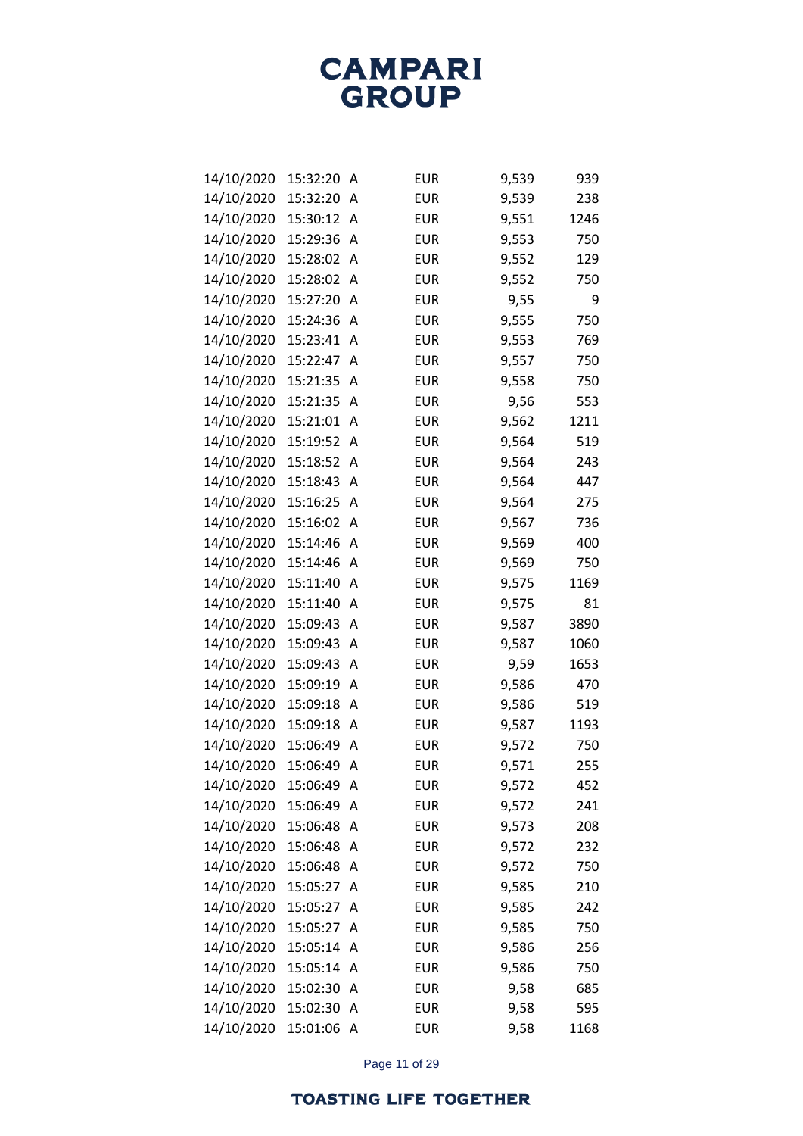| 14/10/2020 | 15:32:20 | Α | <b>EUR</b> | 9,539 | 939  |
|------------|----------|---|------------|-------|------|
| 14/10/2020 | 15:32:20 | Α | <b>EUR</b> | 9,539 | 238  |
| 14/10/2020 | 15:30:12 | Α | <b>EUR</b> | 9,551 | 1246 |
| 14/10/2020 | 15:29:36 | Α | <b>EUR</b> | 9,553 | 750  |
| 14/10/2020 | 15:28:02 | Α | <b>EUR</b> | 9,552 | 129  |
| 14/10/2020 | 15:28:02 | Α | <b>EUR</b> | 9,552 | 750  |
| 14/10/2020 | 15:27:20 | Α | <b>EUR</b> | 9,55  | 9    |
| 14/10/2020 | 15:24:36 | A | <b>EUR</b> | 9,555 | 750  |
| 14/10/2020 | 15:23:41 | A | <b>EUR</b> | 9,553 | 769  |
| 14/10/2020 | 15:22:47 | Α | <b>EUR</b> | 9,557 | 750  |
| 14/10/2020 | 15:21:35 | A | <b>EUR</b> | 9,558 | 750  |
| 14/10/2020 | 15:21:35 | A | <b>EUR</b> | 9,56  | 553  |
| 14/10/2020 | 15:21:01 | A | <b>EUR</b> | 9,562 | 1211 |
| 14/10/2020 | 15:19:52 | Α | <b>EUR</b> | 9,564 | 519  |
| 14/10/2020 | 15:18:52 | Α | <b>EUR</b> | 9,564 | 243  |
| 14/10/2020 | 15:18:43 | Α | <b>EUR</b> | 9,564 | 447  |
| 14/10/2020 | 15:16:25 | A | <b>EUR</b> | 9,564 | 275  |
| 14/10/2020 | 15:16:02 | A | <b>EUR</b> | 9,567 | 736  |
| 14/10/2020 | 15:14:46 | A | <b>EUR</b> | 9,569 | 400  |
| 14/10/2020 | 15:14:46 | A | <b>EUR</b> | 9,569 | 750  |
| 14/10/2020 | 15:11:40 | A | EUR        | 9,575 | 1169 |
| 14/10/2020 | 15:11:40 | A | <b>EUR</b> | 9,575 | 81   |
| 14/10/2020 | 15:09:43 | A | <b>EUR</b> | 9,587 | 3890 |
| 14/10/2020 | 15:09:43 | Α | <b>EUR</b> | 9,587 | 1060 |
| 14/10/2020 | 15:09:43 | A | EUR        | 9,59  | 1653 |
| 14/10/2020 | 15:09:19 | A | <b>EUR</b> | 9,586 | 470  |
| 14/10/2020 | 15:09:18 | A | <b>EUR</b> | 9,586 | 519  |
| 14/10/2020 | 15:09:18 | Α | <b>EUR</b> | 9,587 | 1193 |
| 14/10/2020 | 15:06:49 | A | <b>EUR</b> | 9,572 | 750  |
| 14/10/2020 | 15:06:49 | Α | <b>EUR</b> | 9,571 | 255  |
| 14/10/2020 | 15:06:49 | А | <b>EUR</b> | 9,572 | 452  |
| 14/10/2020 | 15:06:49 | Α | <b>EUR</b> | 9,572 | 241  |
| 14/10/2020 | 15:06:48 | Α | <b>EUR</b> | 9,573 | 208  |
| 14/10/2020 | 15:06:48 | Α | <b>EUR</b> | 9,572 | 232  |
| 14/10/2020 | 15:06:48 | Α | <b>EUR</b> | 9,572 | 750  |
| 14/10/2020 | 15:05:27 | Α | <b>EUR</b> | 9,585 | 210  |
| 14/10/2020 | 15:05:27 | A | <b>EUR</b> | 9,585 | 242  |
| 14/10/2020 | 15:05:27 | Α | <b>EUR</b> | 9,585 | 750  |
| 14/10/2020 | 15:05:14 | A | <b>EUR</b> | 9,586 | 256  |
| 14/10/2020 | 15:05:14 | Α | <b>EUR</b> | 9,586 | 750  |
| 14/10/2020 | 15:02:30 | A | <b>EUR</b> | 9,58  | 685  |
| 14/10/2020 | 15:02:30 | Α | <b>EUR</b> | 9,58  | 595  |
| 14/10/2020 | 15:01:06 | Α | <b>EUR</b> | 9,58  | 1168 |

Page 11 of 29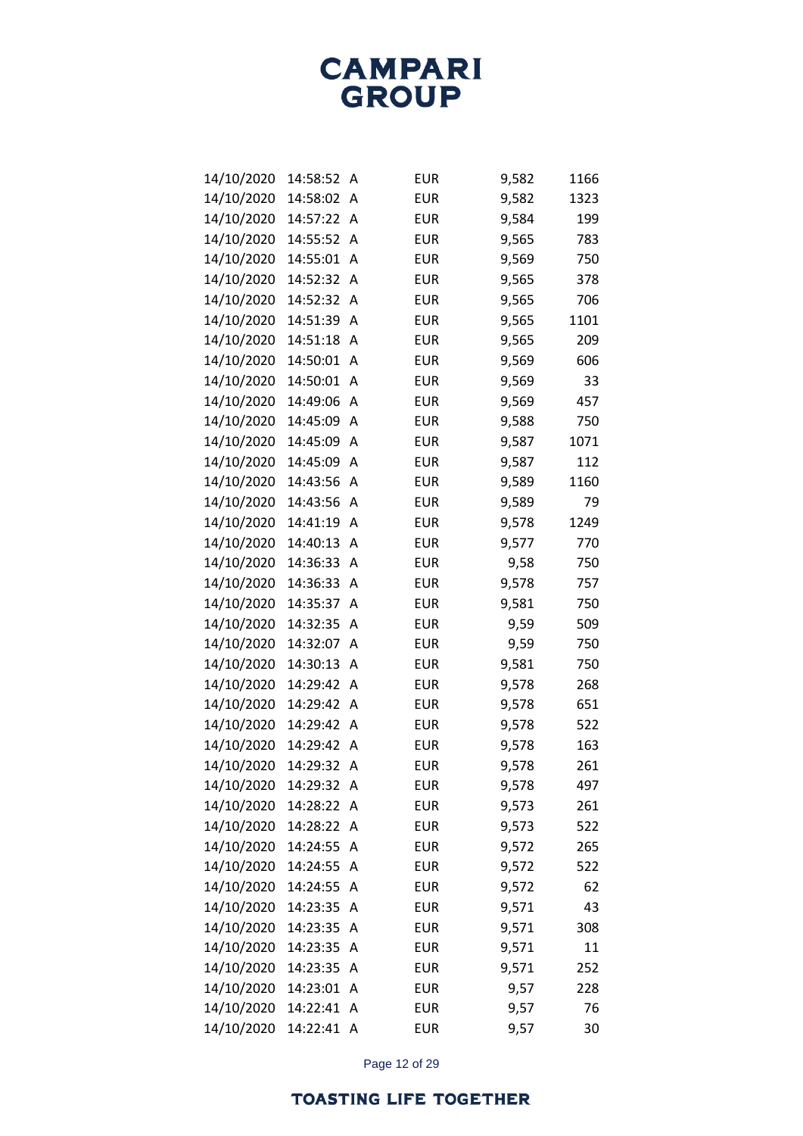| 14/10/2020 | 14:58:52 | Α | <b>EUR</b> | 9,582 | 1166 |
|------------|----------|---|------------|-------|------|
| 14/10/2020 | 14:58:02 | A | <b>EUR</b> | 9,582 | 1323 |
| 14/10/2020 | 14:57:22 | Α | <b>EUR</b> | 9,584 | 199  |
| 14/10/2020 | 14:55:52 | Α | <b>EUR</b> | 9,565 | 783  |
| 14/10/2020 | 14:55:01 | Α | <b>EUR</b> | 9,569 | 750  |
| 14/10/2020 | 14:52:32 | Α | <b>EUR</b> | 9,565 | 378  |
| 14/10/2020 | 14:52:32 | Α | <b>EUR</b> | 9,565 | 706  |
| 14/10/2020 | 14:51:39 | Α | <b>EUR</b> | 9,565 | 1101 |
| 14/10/2020 | 14:51:18 | Α | <b>EUR</b> | 9,565 | 209  |
| 14/10/2020 | 14:50:01 | Α | <b>EUR</b> | 9,569 | 606  |
| 14/10/2020 | 14:50:01 | Α | <b>EUR</b> | 9,569 | 33   |
| 14/10/2020 | 14:49:06 | A | <b>EUR</b> | 9,569 | 457  |
| 14/10/2020 | 14:45:09 | Α | <b>EUR</b> | 9,588 | 750  |
| 14/10/2020 | 14:45:09 | Α | <b>EUR</b> | 9,587 | 1071 |
| 14/10/2020 | 14:45:09 | Α | <b>EUR</b> | 9,587 | 112  |
| 14/10/2020 | 14:43:56 | A | <b>EUR</b> | 9,589 | 1160 |
| 14/10/2020 | 14:43:56 | A | <b>EUR</b> | 9,589 | 79   |
| 14/10/2020 | 14:41:19 | Α | <b>EUR</b> | 9,578 | 1249 |
| 14/10/2020 | 14:40:13 | Α | <b>EUR</b> | 9,577 | 770  |
| 14/10/2020 | 14:36:33 | А | <b>EUR</b> | 9,58  | 750  |
| 14/10/2020 | 14:36:33 | Α | <b>EUR</b> | 9,578 | 757  |
| 14/10/2020 | 14:35:37 | A | <b>EUR</b> | 9,581 | 750  |
| 14/10/2020 | 14:32:35 | Α | <b>EUR</b> | 9,59  | 509  |
| 14/10/2020 | 14:32:07 | A | <b>EUR</b> | 9,59  | 750  |
| 14/10/2020 | 14:30:13 | Α | <b>EUR</b> | 9,581 | 750  |
| 14/10/2020 | 14:29:42 | A | <b>EUR</b> | 9,578 | 268  |
| 14/10/2020 | 14:29:42 | Α | <b>EUR</b> | 9,578 | 651  |
| 14/10/2020 | 14:29:42 | A | <b>EUR</b> | 9,578 | 522  |
| 14/10/2020 | 14:29:42 | Α | <b>EUR</b> | 9,578 | 163  |
| 14/10/2020 | 14:29:32 | Α | <b>EUR</b> | 9,578 | 261  |
| 14/10/2020 | 14:29:32 | A | <b>EUR</b> | 9,578 | 497  |
| 14/10/2020 | 14:28:22 | A | <b>EUR</b> | 9,573 | 261  |
| 14/10/2020 | 14:28:22 | A | <b>EUR</b> | 9,573 | 522  |
| 14/10/2020 | 14:24:55 | A | <b>EUR</b> | 9,572 | 265  |
| 14/10/2020 | 14:24:55 | A | <b>EUR</b> | 9,572 | 522  |
| 14/10/2020 | 14:24:55 | Α | <b>EUR</b> | 9,572 | 62   |
| 14/10/2020 | 14:23:35 | A | <b>EUR</b> | 9,571 | 43   |
| 14/10/2020 | 14:23:35 | Α | <b>EUR</b> | 9,571 | 308  |
| 14/10/2020 | 14:23:35 | Α | <b>EUR</b> | 9,571 | 11   |
| 14/10/2020 | 14:23:35 | Α | <b>EUR</b> | 9,571 | 252  |
| 14/10/2020 | 14:23:01 | A | <b>EUR</b> | 9,57  | 228  |
| 14/10/2020 | 14:22:41 | A | <b>EUR</b> | 9,57  | 76   |
| 14/10/2020 | 14:22:41 | Α | <b>EUR</b> | 9,57  | 30   |

Page 12 of 29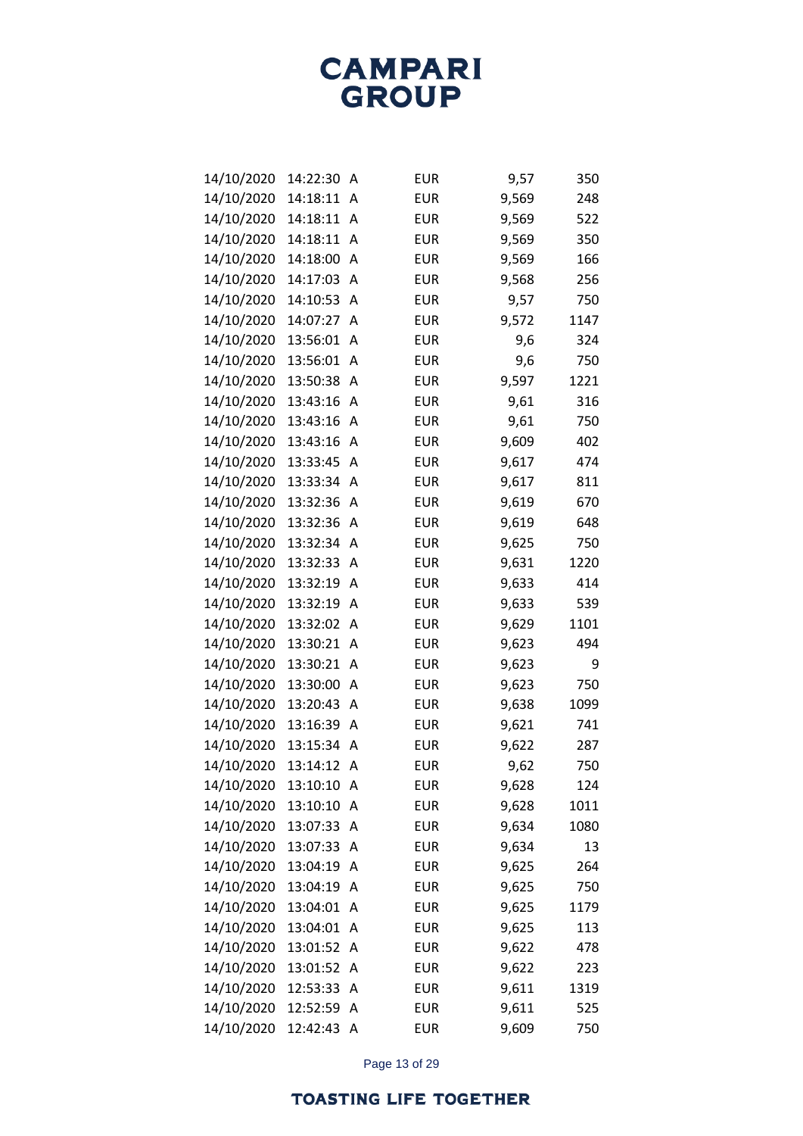| 14/10/2020 | 14:22:30 | Α | <b>EUR</b> | 9,57  | 350  |
|------------|----------|---|------------|-------|------|
| 14/10/2020 | 14:18:11 | A | <b>EUR</b> | 9,569 | 248  |
| 14/10/2020 | 14:18:11 | Α | <b>EUR</b> | 9,569 | 522  |
| 14/10/2020 | 14:18:11 | Α | <b>EUR</b> | 9,569 | 350  |
| 14/10/2020 | 14:18:00 | A | <b>EUR</b> | 9,569 | 166  |
| 14/10/2020 | 14:17:03 | A | <b>EUR</b> | 9,568 | 256  |
| 14/10/2020 | 14:10:53 | A | <b>EUR</b> | 9,57  | 750  |
| 14/10/2020 | 14:07:27 | Α | <b>EUR</b> | 9,572 | 1147 |
| 14/10/2020 | 13:56:01 | Α | <b>EUR</b> | 9,6   | 324  |
| 14/10/2020 | 13:56:01 | Α | <b>EUR</b> | 9,6   | 750  |
| 14/10/2020 | 13:50:38 | A | <b>EUR</b> | 9,597 | 1221 |
| 14/10/2020 | 13:43:16 | Α | <b>EUR</b> | 9,61  | 316  |
| 14/10/2020 | 13:43:16 | Α | <b>EUR</b> | 9,61  | 750  |
| 14/10/2020 | 13:43:16 | Α | <b>EUR</b> | 9,609 | 402  |
| 14/10/2020 | 13:33:45 | A | <b>EUR</b> | 9,617 | 474  |
| 14/10/2020 | 13:33:34 | Α | <b>EUR</b> | 9,617 | 811  |
| 14/10/2020 | 13:32:36 | Α | <b>EUR</b> | 9,619 | 670  |
| 14/10/2020 | 13:32:36 | Α | <b>EUR</b> | 9,619 | 648  |
| 14/10/2020 | 13:32:34 | A | <b>EUR</b> | 9,625 | 750  |
| 14/10/2020 | 13:32:33 | А | <b>EUR</b> | 9,631 | 1220 |
| 14/10/2020 | 13:32:19 | A | <b>EUR</b> | 9,633 | 414  |
| 14/10/2020 | 13:32:19 | Α | <b>EUR</b> | 9,633 | 539  |
| 14/10/2020 | 13:32:02 | A | <b>EUR</b> | 9,629 | 1101 |
| 14/10/2020 | 13:30:21 | Α | <b>EUR</b> | 9,623 | 494  |
| 14/10/2020 | 13:30:21 | Α | <b>EUR</b> | 9,623 | 9    |
| 14/10/2020 | 13:30:00 | Α | <b>EUR</b> | 9,623 | 750  |
| 14/10/2020 | 13:20:43 | A | <b>EUR</b> | 9,638 | 1099 |
| 14/10/2020 | 13:16:39 | Α | <b>EUR</b> | 9,621 | 741  |
| 14/10/2020 | 13:15:34 | Α | <b>EUR</b> | 9,622 | 287  |
| 14/10/2020 | 13:14:12 | Α | <b>EUR</b> | 9,62  | 750  |
| 14/10/2020 | 13:10:10 | А | <b>EUR</b> | 9,628 | 124  |
| 14/10/2020 | 13:10:10 | Α | <b>EUR</b> | 9,628 | 1011 |
| 14/10/2020 | 13:07:33 | Α | <b>EUR</b> | 9,634 | 1080 |
| 14/10/2020 | 13:07:33 | Α | <b>EUR</b> | 9,634 | 13   |
| 14/10/2020 | 13:04:19 | Α | <b>EUR</b> | 9,625 | 264  |
| 14/10/2020 | 13:04:19 | Α | <b>EUR</b> | 9,625 | 750  |
| 14/10/2020 | 13:04:01 | Α | <b>EUR</b> | 9,625 | 1179 |
| 14/10/2020 | 13:04:01 | А | <b>EUR</b> | 9,625 | 113  |
| 14/10/2020 | 13:01:52 | Α | <b>EUR</b> | 9,622 | 478  |
| 14/10/2020 | 13:01:52 | Α | <b>EUR</b> | 9,622 | 223  |
| 14/10/2020 | 12:53:33 | Α | <b>EUR</b> | 9,611 | 1319 |
| 14/10/2020 | 12:52:59 | Α | <b>EUR</b> | 9,611 | 525  |
| 14/10/2020 | 12:42:43 | Α | <b>EUR</b> | 9,609 | 750  |

Page 13 of 29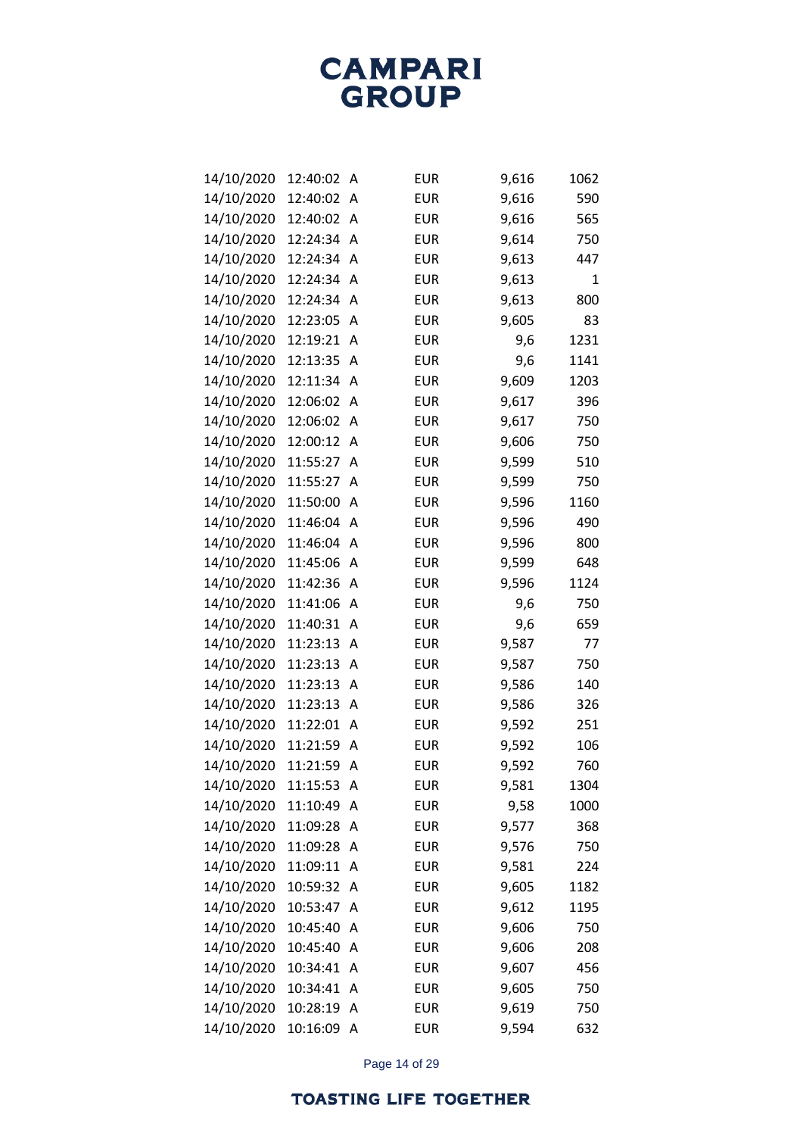| 14/10/2020 | 12:40:02 | Α | <b>EUR</b> | 9,616 | 1062 |
|------------|----------|---|------------|-------|------|
| 14/10/2020 | 12:40:02 | Α | <b>EUR</b> | 9,616 | 590  |
| 14/10/2020 | 12:40:02 | A | <b>EUR</b> | 9,616 | 565  |
| 14/10/2020 | 12:24:34 | A | <b>EUR</b> | 9,614 | 750  |
| 14/10/2020 | 12:24:34 | A | <b>EUR</b> | 9,613 | 447  |
| 14/10/2020 | 12:24:34 | A | <b>EUR</b> | 9,613 | 1    |
| 14/10/2020 | 12:24:34 | Α | <b>EUR</b> | 9,613 | 800  |
| 14/10/2020 | 12:23:05 | Α | <b>EUR</b> | 9,605 | 83   |
| 14/10/2020 | 12:19:21 | Α | <b>EUR</b> | 9,6   | 1231 |
| 14/10/2020 | 12:13:35 | Α | <b>EUR</b> | 9,6   | 1141 |
| 14/10/2020 | 12:11:34 | A | <b>EUR</b> | 9,609 | 1203 |
| 14/10/2020 | 12:06:02 | Α | <b>EUR</b> | 9,617 | 396  |
| 14/10/2020 | 12:06:02 | Α | <b>EUR</b> | 9,617 | 750  |
| 14/10/2020 | 12:00:12 | Α | <b>EUR</b> | 9,606 | 750  |
| 14/10/2020 | 11:55:27 | A | <b>EUR</b> | 9,599 | 510  |
| 14/10/2020 | 11:55:27 | Α | <b>EUR</b> | 9,599 | 750  |
| 14/10/2020 | 11:50:00 | A | <b>EUR</b> | 9,596 | 1160 |
| 14/10/2020 | 11:46:04 | Α | <b>EUR</b> | 9,596 | 490  |
| 14/10/2020 | 11:46:04 | A | <b>EUR</b> | 9,596 | 800  |
| 14/10/2020 | 11:45:06 | Α | <b>EUR</b> | 9,599 | 648  |
| 14/10/2020 | 11:42:36 | Α | <b>EUR</b> | 9,596 | 1124 |
| 14/10/2020 | 11:41:06 | Α | <b>EUR</b> | 9,6   | 750  |
| 14/10/2020 | 11:40:31 | Α | <b>EUR</b> | 9,6   | 659  |
| 14/10/2020 | 11:23:13 | А | <b>EUR</b> | 9,587 | 77   |
| 14/10/2020 | 11:23:13 | Α | <b>EUR</b> | 9,587 | 750  |
| 14/10/2020 | 11:23:13 | А | <b>EUR</b> | 9,586 | 140  |
| 14/10/2020 | 11:23:13 | Α | <b>EUR</b> | 9,586 | 326  |
| 14/10/2020 | 11:22:01 | А | <b>EUR</b> | 9,592 | 251  |
| 14/10/2020 | 11:21:59 | Α | <b>EUR</b> | 9,592 | 106  |
| 14/10/2020 | 11:21:59 | Α | <b>EUR</b> | 9,592 | 760  |
| 14/10/2020 | 11:15:53 | Α | <b>EUR</b> | 9,581 | 1304 |
| 14/10/2020 | 11:10:49 | Α | <b>EUR</b> | 9,58  | 1000 |
| 14/10/2020 | 11:09:28 | Α | <b>EUR</b> | 9,577 | 368  |
| 14/10/2020 | 11:09:28 | Α | <b>EUR</b> | 9,576 | 750  |
| 14/10/2020 | 11:09:11 | Α | <b>EUR</b> | 9,581 | 224  |
| 14/10/2020 | 10:59:32 | Α | <b>EUR</b> | 9,605 | 1182 |
| 14/10/2020 | 10:53:47 | A | <b>EUR</b> | 9,612 | 1195 |
| 14/10/2020 | 10:45:40 | Α | <b>EUR</b> | 9,606 | 750  |
| 14/10/2020 | 10:45:40 | Α | <b>EUR</b> | 9,606 | 208  |
| 14/10/2020 | 10:34:41 | Α | <b>EUR</b> | 9,607 | 456  |
| 14/10/2020 | 10:34:41 | A | <b>EUR</b> | 9,605 | 750  |
| 14/10/2020 | 10:28:19 | Α | <b>EUR</b> | 9,619 | 750  |
| 14/10/2020 | 10:16:09 | A | <b>EUR</b> | 9,594 | 632  |

Page 14 of 29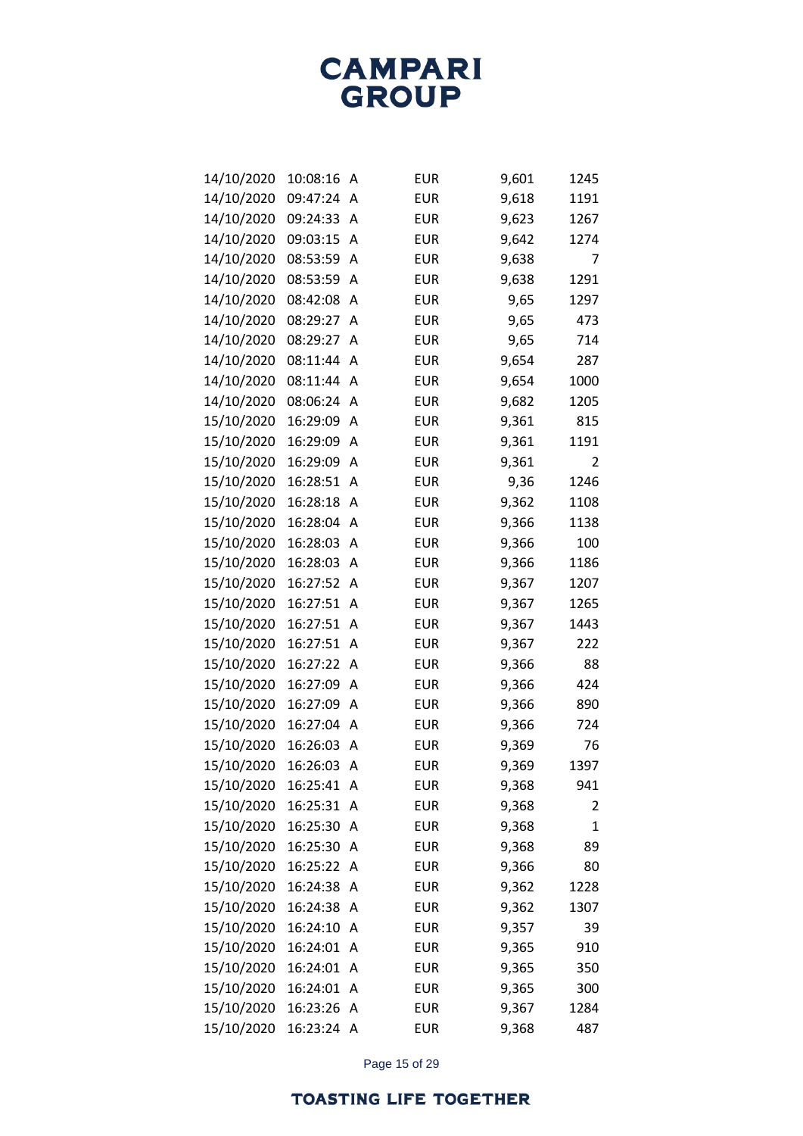| 14/10/2020 | 10:08:16 | А | <b>EUR</b> | 9,601 | 1245 |
|------------|----------|---|------------|-------|------|
| 14/10/2020 | 09:47:24 | A | <b>EUR</b> | 9,618 | 1191 |
| 14/10/2020 | 09:24:33 | Α | <b>EUR</b> | 9,623 | 1267 |
| 14/10/2020 | 09:03:15 | А | <b>EUR</b> | 9,642 | 1274 |
| 14/10/2020 | 08:53:59 | Α | <b>EUR</b> | 9,638 | 7    |
| 14/10/2020 | 08:53:59 | Α | <b>EUR</b> | 9,638 | 1291 |
| 14/10/2020 | 08:42:08 | Α | <b>EUR</b> | 9,65  | 1297 |
| 14/10/2020 | 08:29:27 | Α | <b>EUR</b> | 9,65  | 473  |
| 14/10/2020 | 08:29:27 | Α | <b>EUR</b> | 9,65  | 714  |
| 14/10/2020 | 08:11:44 | Α | <b>EUR</b> | 9,654 | 287  |
| 14/10/2020 | 08:11:44 | Α | <b>EUR</b> | 9,654 | 1000 |
| 14/10/2020 | 08:06:24 | Α | <b>EUR</b> | 9,682 | 1205 |
| 15/10/2020 | 16:29:09 | Α | <b>EUR</b> | 9,361 | 815  |
| 15/10/2020 | 16:29:09 | Α | <b>EUR</b> | 9,361 | 1191 |
| 15/10/2020 | 16:29:09 | Α | <b>EUR</b> | 9,361 | 2    |
| 15/10/2020 | 16:28:51 | Α | <b>EUR</b> | 9,36  | 1246 |
| 15/10/2020 | 16:28:18 | Α | <b>EUR</b> | 9,362 | 1108 |
| 15/10/2020 | 16:28:04 | Α | <b>EUR</b> | 9,366 | 1138 |
| 15/10/2020 | 16:28:03 | Α | <b>EUR</b> | 9,366 | 100  |
| 15/10/2020 | 16:28:03 | Α | <b>EUR</b> | 9,366 | 1186 |
| 15/10/2020 | 16:27:52 | Α | <b>EUR</b> | 9,367 | 1207 |
| 15/10/2020 | 16:27:51 | Α | <b>EUR</b> | 9,367 | 1265 |
| 15/10/2020 | 16:27:51 | Α | <b>EUR</b> | 9,367 | 1443 |
| 15/10/2020 | 16:27:51 | Α | <b>EUR</b> | 9,367 | 222  |
| 15/10/2020 | 16:27:22 | Α | <b>EUR</b> | 9,366 | 88   |
| 15/10/2020 | 16:27:09 | Α | <b>EUR</b> | 9,366 | 424  |
| 15/10/2020 | 16:27:09 | Α | <b>EUR</b> | 9,366 | 890  |
| 15/10/2020 | 16:27:04 | Α | <b>EUR</b> | 9,366 | 724  |
| 15/10/2020 | 16:26:03 | Α | <b>EUR</b> | 9,369 | 76   |
| 15/10/2020 | 16:26:03 | Α | <b>EUR</b> | 9,369 | 1397 |
| 15/10/2020 | 16:25:41 | Α | <b>EUR</b> | 9,368 | 941  |
| 15/10/2020 | 16:25:31 | Α | <b>EUR</b> | 9,368 | 2    |
| 15/10/2020 | 16:25:30 | Α | <b>EUR</b> | 9,368 | 1    |
| 15/10/2020 | 16:25:30 | Α | <b>EUR</b> | 9,368 | 89   |
| 15/10/2020 | 16:25:22 | Α | <b>EUR</b> | 9,366 | 80   |
| 15/10/2020 | 16:24:38 | Α | <b>EUR</b> | 9,362 | 1228 |
| 15/10/2020 | 16:24:38 | Α | <b>EUR</b> | 9,362 | 1307 |
| 15/10/2020 | 16:24:10 | Α | <b>EUR</b> | 9,357 | 39   |
| 15/10/2020 | 16:24:01 | Α | <b>EUR</b> | 9,365 | 910  |
| 15/10/2020 | 16:24:01 | Α | <b>EUR</b> | 9,365 | 350  |
| 15/10/2020 | 16:24:01 | Α | <b>EUR</b> | 9,365 | 300  |
| 15/10/2020 | 16:23:26 | Α | <b>EUR</b> | 9,367 | 1284 |
| 15/10/2020 | 16:23:24 | A | <b>EUR</b> | 9,368 | 487  |

Page 15 of 29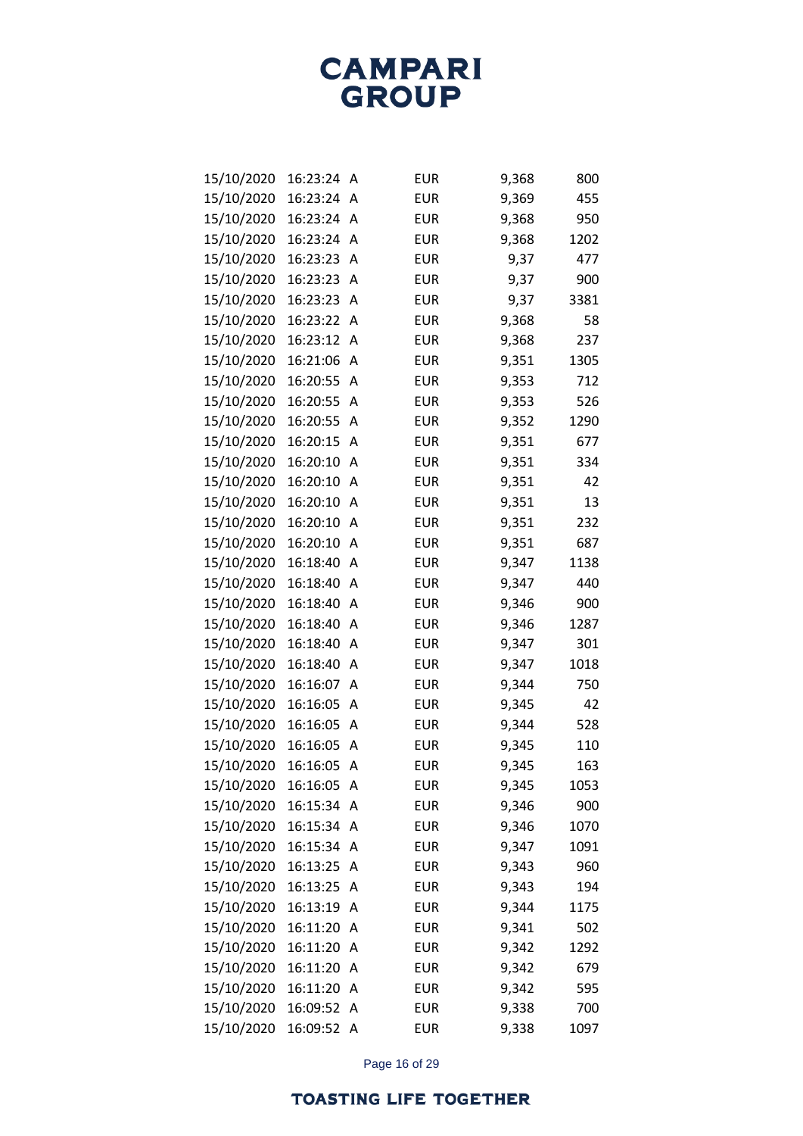| 15/10/2020 | 16:23:24 | А | <b>EUR</b> | 9,368 | 800  |
|------------|----------|---|------------|-------|------|
| 15/10/2020 | 16:23:24 | Α | <b>EUR</b> | 9,369 | 455  |
| 15/10/2020 | 16:23:24 | A | <b>EUR</b> | 9,368 | 950  |
| 15/10/2020 | 16:23:24 | А | <b>EUR</b> | 9,368 | 1202 |
| 15/10/2020 | 16:23:23 | Α | <b>EUR</b> | 9,37  | 477  |
| 15/10/2020 | 16:23:23 | А | <b>EUR</b> | 9,37  | 900  |
| 15/10/2020 | 16:23:23 | Α | <b>EUR</b> | 9,37  | 3381 |
| 15/10/2020 | 16:23:22 | Α | <b>EUR</b> | 9,368 | 58   |
| 15/10/2020 | 16:23:12 | Α | <b>EUR</b> | 9,368 | 237  |
| 15/10/2020 | 16:21:06 | А | <b>EUR</b> | 9,351 | 1305 |
| 15/10/2020 | 16:20:55 | Α | <b>EUR</b> | 9,353 | 712  |
| 15/10/2020 | 16:20:55 | А | <b>EUR</b> | 9,353 | 526  |
| 15/10/2020 | 16:20:55 | Α | <b>EUR</b> | 9,352 | 1290 |
| 15/10/2020 | 16:20:15 | А | <b>EUR</b> | 9,351 | 677  |
| 15/10/2020 | 16:20:10 | A | <b>EUR</b> | 9,351 | 334  |
| 15/10/2020 | 16:20:10 | Α | <b>EUR</b> | 9,351 | 42   |
| 15/10/2020 | 16:20:10 | Α | <b>EUR</b> | 9,351 | 13   |
| 15/10/2020 | 16:20:10 | Α | <b>EUR</b> | 9,351 | 232  |
| 15/10/2020 | 16:20:10 | A | <b>EUR</b> | 9,351 | 687  |
| 15/10/2020 | 16:18:40 | Α | <b>EUR</b> | 9,347 | 1138 |
| 15/10/2020 | 16:18:40 | Α | <b>EUR</b> | 9,347 | 440  |
| 15/10/2020 | 16:18:40 | Α | <b>EUR</b> | 9,346 | 900  |
| 15/10/2020 | 16:18:40 | Α | <b>EUR</b> | 9,346 | 1287 |
| 15/10/2020 | 16:18:40 | Α | <b>EUR</b> | 9,347 | 301  |
| 15/10/2020 | 16:18:40 | Α | <b>EUR</b> | 9,347 | 1018 |
| 15/10/2020 | 16:16:07 | А | <b>EUR</b> | 9,344 | 750  |
| 15/10/2020 | 16:16:05 | Α | <b>EUR</b> | 9,345 | 42   |
| 15/10/2020 | 16:16:05 | А | <b>EUR</b> | 9,344 | 528  |
| 15/10/2020 | 16:16:05 | Α | <b>EUR</b> | 9,345 | 110  |
| 15/10/2020 | 16:16:05 | Α | <b>EUR</b> | 9,345 | 163  |
| 15/10/2020 | 16:16:05 | Α | <b>EUR</b> | 9,345 | 1053 |
| 15/10/2020 | 16:15:34 | Α | <b>EUR</b> | 9,346 | 900  |
| 15/10/2020 | 16:15:34 | Α | <b>EUR</b> | 9,346 | 1070 |
| 15/10/2020 | 16:15:34 | Α | <b>EUR</b> | 9,347 | 1091 |
| 15/10/2020 | 16:13:25 | Α | <b>EUR</b> | 9,343 | 960  |
| 15/10/2020 | 16:13:25 | Α | <b>EUR</b> | 9,343 | 194  |
| 15/10/2020 | 16:13:19 | Α | <b>EUR</b> | 9,344 | 1175 |
| 15/10/2020 | 16:11:20 | Α | <b>EUR</b> | 9,341 | 502  |
| 15/10/2020 | 16:11:20 | Α | <b>EUR</b> | 9,342 | 1292 |
| 15/10/2020 | 16:11:20 | Α | <b>EUR</b> | 9,342 | 679  |
| 15/10/2020 | 16:11:20 | Α | <b>EUR</b> | 9,342 | 595  |
| 15/10/2020 | 16:09:52 | Α | <b>EUR</b> | 9,338 | 700  |
| 15/10/2020 | 16:09:52 | Α | <b>EUR</b> | 9,338 | 1097 |

Page 16 of 29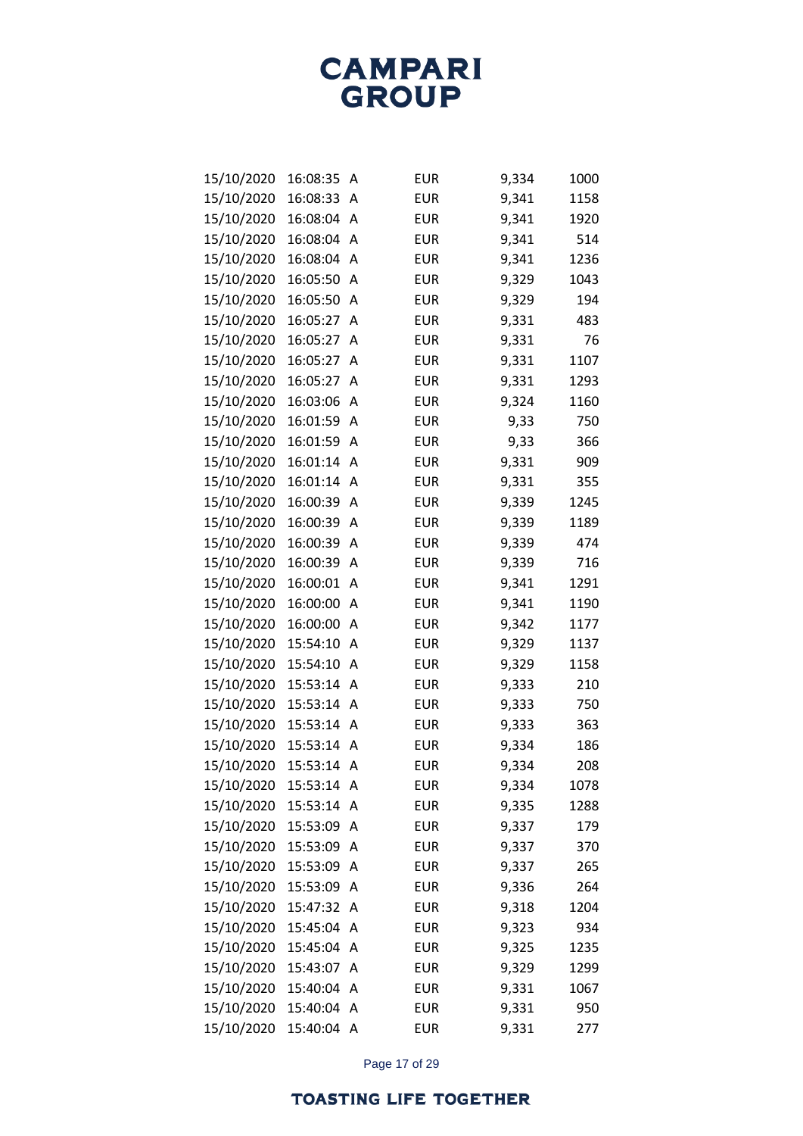| 15/10/2020 | 16:08:35 | Α | <b>EUR</b> | 9,334 | 1000 |
|------------|----------|---|------------|-------|------|
| 15/10/2020 | 16:08:33 | A | <b>EUR</b> | 9,341 | 1158 |
| 15/10/2020 | 16:08:04 | A | <b>EUR</b> | 9,341 | 1920 |
| 15/10/2020 | 16:08:04 | A | <b>EUR</b> | 9,341 | 514  |
| 15/10/2020 | 16:08:04 | А | <b>EUR</b> | 9,341 | 1236 |
| 15/10/2020 | 16:05:50 | A | <b>EUR</b> | 9,329 | 1043 |
| 15/10/2020 | 16:05:50 | Α | <b>EUR</b> | 9,329 | 194  |
| 15/10/2020 | 16:05:27 | A | <b>EUR</b> | 9,331 | 483  |
| 15/10/2020 | 16:05:27 | A | <b>EUR</b> | 9,331 | 76   |
| 15/10/2020 | 16:05:27 | Α | <b>EUR</b> | 9,331 | 1107 |
| 15/10/2020 | 16:05:27 | Α | <b>EUR</b> | 9,331 | 1293 |
| 15/10/2020 | 16:03:06 | A | <b>EUR</b> | 9,324 | 1160 |
| 15/10/2020 | 16:01:59 | Α | <b>EUR</b> | 9,33  | 750  |
| 15/10/2020 | 16:01:59 | Α | <b>EUR</b> | 9,33  | 366  |
| 15/10/2020 | 16:01:14 | Α | <b>EUR</b> | 9,331 | 909  |
| 15/10/2020 | 16:01:14 | Α | <b>EUR</b> | 9,331 | 355  |
| 15/10/2020 | 16:00:39 | A | <b>EUR</b> | 9,339 | 1245 |
| 15/10/2020 | 16:00:39 | A | <b>EUR</b> | 9,339 | 1189 |
| 15/10/2020 | 16:00:39 | Α | <b>EUR</b> | 9,339 | 474  |
| 15/10/2020 | 16:00:39 | Α | <b>EUR</b> | 9,339 | 716  |
| 15/10/2020 | 16:00:01 | A | <b>EUR</b> | 9,341 | 1291 |
| 15/10/2020 | 16:00:00 | Α | <b>EUR</b> | 9,341 | 1190 |
| 15/10/2020 | 16:00:00 | Α | <b>EUR</b> | 9,342 | 1177 |
| 15/10/2020 | 15:54:10 | Α | <b>EUR</b> | 9,329 | 1137 |
| 15/10/2020 | 15:54:10 | A | <b>EUR</b> | 9,329 | 1158 |
| 15/10/2020 | 15:53:14 | Α | <b>EUR</b> | 9,333 | 210  |
| 15/10/2020 | 15:53:14 | A | <b>EUR</b> | 9,333 | 750  |
| 15/10/2020 | 15:53:14 | A | <b>EUR</b> | 9,333 | 363  |
| 15/10/2020 | 15:53:14 | A | <b>EUR</b> | 9,334 | 186  |
| 15/10/2020 | 15:53:14 | Α | <b>EUR</b> | 9,334 | 208  |
| 15/10/2020 | 15:53:14 | А | <b>EUR</b> | 9,334 | 1078 |
| 15/10/2020 | 15:53:14 | A | <b>EUR</b> | 9,335 | 1288 |
| 15/10/2020 | 15:53:09 | A | <b>EUR</b> | 9,337 | 179  |
| 15/10/2020 | 15:53:09 | Α | <b>EUR</b> | 9,337 | 370  |
| 15/10/2020 | 15:53:09 | Α | <b>EUR</b> | 9,337 | 265  |
| 15/10/2020 | 15:53:09 | Α | <b>EUR</b> | 9,336 | 264  |
| 15/10/2020 | 15:47:32 | A | <b>EUR</b> | 9,318 | 1204 |
| 15/10/2020 | 15:45:04 | A | <b>EUR</b> | 9,323 | 934  |
| 15/10/2020 | 15:45:04 | Α | <b>EUR</b> | 9,325 | 1235 |
| 15/10/2020 | 15:43:07 | Α | <b>EUR</b> | 9,329 | 1299 |
| 15/10/2020 | 15:40:04 | A | <b>EUR</b> | 9,331 | 1067 |
| 15/10/2020 | 15:40:04 | A | <b>EUR</b> | 9,331 | 950  |
| 15/10/2020 | 15:40:04 | Α | <b>EUR</b> | 9,331 | 277  |

Page 17 of 29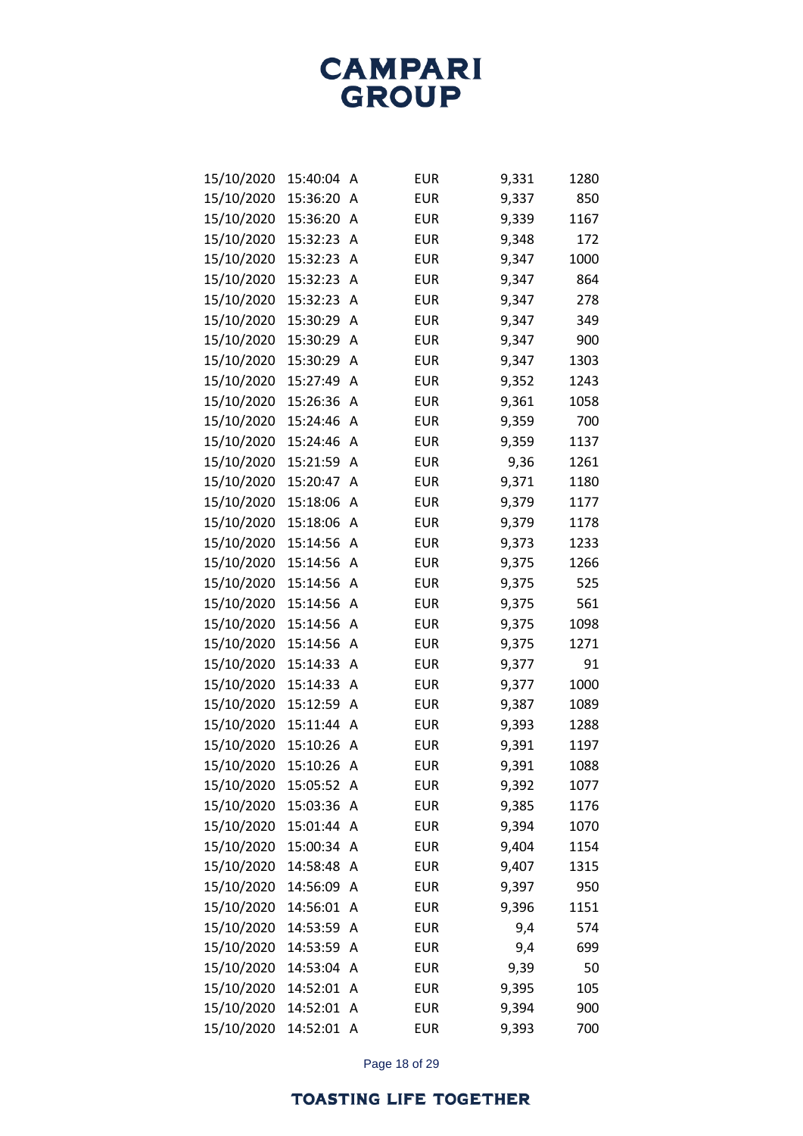| 15/10/2020 | 15:40:04 | Α | <b>EUR</b> | 9,331 | 1280 |
|------------|----------|---|------------|-------|------|
| 15/10/2020 | 15:36:20 | A | <b>EUR</b> | 9,337 | 850  |
| 15/10/2020 | 15:36:20 | Α | <b>EUR</b> | 9,339 | 1167 |
| 15/10/2020 | 15:32:23 | A | <b>EUR</b> | 9,348 | 172  |
| 15/10/2020 | 15:32:23 | A | <b>EUR</b> | 9,347 | 1000 |
| 15/10/2020 | 15:32:23 | A | <b>EUR</b> | 9,347 | 864  |
| 15/10/2020 | 15:32:23 | Α | <b>EUR</b> | 9,347 | 278  |
| 15/10/2020 | 15:30:29 | A | <b>EUR</b> | 9,347 | 349  |
| 15/10/2020 | 15:30:29 | A | <b>EUR</b> | 9,347 | 900  |
| 15/10/2020 | 15:30:29 | A | <b>EUR</b> | 9,347 | 1303 |
| 15/10/2020 | 15:27:49 | A | <b>EUR</b> | 9,352 | 1243 |
| 15/10/2020 | 15:26:36 | A | <b>EUR</b> | 9,361 | 1058 |
| 15/10/2020 | 15:24:46 | A | <b>EUR</b> | 9,359 | 700  |
| 15/10/2020 | 15:24:46 | A | <b>EUR</b> | 9,359 | 1137 |
| 15/10/2020 | 15:21:59 | A | <b>EUR</b> | 9,36  | 1261 |
| 15/10/2020 | 15:20:47 | A | <b>EUR</b> | 9,371 | 1180 |
| 15/10/2020 | 15:18:06 | A | <b>EUR</b> | 9,379 | 1177 |
| 15/10/2020 | 15:18:06 | Α | <b>EUR</b> | 9,379 | 1178 |
| 15/10/2020 | 15:14:56 | A | <b>EUR</b> | 9,373 | 1233 |
| 15/10/2020 | 15:14:56 | Α | <b>EUR</b> | 9,375 | 1266 |
| 15/10/2020 | 15:14:56 | A | <b>EUR</b> | 9,375 | 525  |
| 15/10/2020 | 15:14:56 | Α | <b>EUR</b> | 9,375 | 561  |
| 15/10/2020 | 15:14:56 | A | <b>EUR</b> | 9,375 | 1098 |
| 15/10/2020 | 15:14:56 | A | <b>EUR</b> | 9,375 | 1271 |
| 15/10/2020 | 15:14:33 | A | <b>EUR</b> | 9,377 | 91   |
| 15/10/2020 | 15:14:33 | A | <b>EUR</b> | 9,377 | 1000 |
| 15/10/2020 | 15:12:59 | A | <b>EUR</b> | 9,387 | 1089 |
| 15/10/2020 | 15:11:44 | A | <b>EUR</b> | 9,393 | 1288 |
| 15/10/2020 | 15:10:26 | A | <b>EUR</b> | 9,391 | 1197 |
| 15/10/2020 | 15:10:26 | Α | <b>EUR</b> | 9,391 | 1088 |
| 15/10/2020 | 15:05:52 | А | <b>EUR</b> | 9,392 | 1077 |
| 15/10/2020 | 15:03:36 | Α | <b>EUR</b> | 9,385 | 1176 |
| 15/10/2020 | 15:01:44 | A | <b>EUR</b> | 9,394 | 1070 |
| 15/10/2020 | 15:00:34 | Α | <b>EUR</b> | 9,404 | 1154 |
| 15/10/2020 | 14:58:48 | Α | <b>EUR</b> | 9,407 | 1315 |
| 15/10/2020 | 14:56:09 | Α | <b>EUR</b> | 9,397 | 950  |
| 15/10/2020 | 14:56:01 | A | <b>EUR</b> | 9,396 | 1151 |
| 15/10/2020 | 14:53:59 | A | <b>EUR</b> | 9,4   | 574  |
| 15/10/2020 | 14:53:59 | Α | <b>EUR</b> | 9,4   | 699  |
| 15/10/2020 | 14:53:04 | Α | <b>EUR</b> | 9,39  | 50   |
| 15/10/2020 | 14:52:01 | A | <b>EUR</b> | 9,395 | 105  |
| 15/10/2020 | 14:52:01 | Α | <b>EUR</b> | 9,394 | 900  |
| 15/10/2020 | 14:52:01 | Α | <b>EUR</b> | 9,393 | 700  |

Page 18 of 29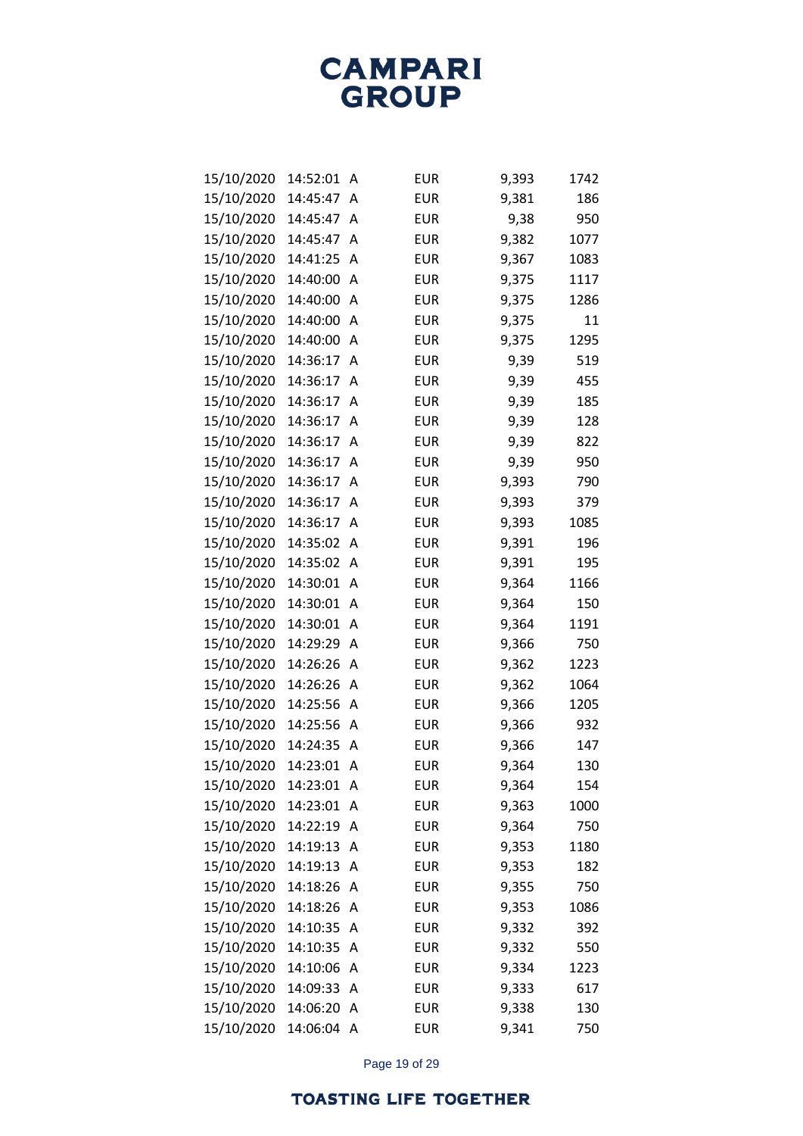| 15/10/2020 | 14:52:01   | Α | <b>EUR</b> | 9,393 | 1742 |
|------------|------------|---|------------|-------|------|
| 15/10/2020 | 14:45:47   | А | <b>EUR</b> | 9,381 | 186  |
| 15/10/2020 | 14:45:47   | Α | <b>EUR</b> | 9,38  | 950  |
| 15/10/2020 | 14:45:47   | А | <b>EUR</b> | 9,382 | 1077 |
| 15/10/2020 | 14:41:25   | Α | <b>EUR</b> | 9,367 | 1083 |
| 15/10/2020 | 14:40:00   | Α | <b>EUR</b> | 9,375 | 1117 |
| 15/10/2020 | 14:40:00   | А | <b>EUR</b> | 9,375 | 1286 |
| 15/10/2020 | 14:40:00   | А | <b>EUR</b> | 9,375 | 11   |
| 15/10/2020 | 14:40:00   | Α | <b>EUR</b> | 9,375 | 1295 |
| 15/10/2020 | 14:36:17   | А | <b>EUR</b> | 9,39  | 519  |
| 15/10/2020 | 14:36:17   | Α | <b>EUR</b> | 9,39  | 455  |
| 15/10/2020 | 14:36:17   | А | <b>EUR</b> | 9,39  | 185  |
| 15/10/2020 | 14:36:17   | А | <b>EUR</b> | 9,39  | 128  |
| 15/10/2020 | 14:36:17   | А | <b>EUR</b> | 9,39  | 822  |
| 15/10/2020 | 14:36:17   | А | <b>EUR</b> | 9,39  | 950  |
| 15/10/2020 | 14:36:17   | А | <b>EUR</b> | 9,393 | 790  |
| 15/10/2020 | 14:36:17   | А | <b>EUR</b> | 9,393 | 379  |
| 15/10/2020 | 14:36:17   | А | <b>EUR</b> | 9,393 | 1085 |
| 15/10/2020 | 14:35:02   | А | <b>EUR</b> | 9,391 | 196  |
| 15/10/2020 | 14:35:02   | А | <b>EUR</b> | 9,391 | 195  |
| 15/10/2020 | 14:30:01   | А | <b>EUR</b> | 9,364 | 1166 |
| 15/10/2020 | 14:30:01   | А | <b>EUR</b> | 9,364 | 150  |
| 15/10/2020 | 14:30:01   | А | <b>EUR</b> | 9,364 | 1191 |
| 15/10/2020 | 14:29:29   | Α | <b>EUR</b> | 9,366 | 750  |
| 15/10/2020 | 14:26:26   | Α | <b>EUR</b> | 9,362 | 1223 |
| 15/10/2020 | 14:26:26   | А | <b>EUR</b> | 9,362 | 1064 |
| 15/10/2020 | 14:25:56   | Α | <b>EUR</b> | 9,366 | 1205 |
| 15/10/2020 | 14:25:56   | А | <b>EUR</b> | 9,366 | 932  |
| 15/10/2020 | 14:24:35   | А | <b>EUR</b> | 9,366 | 147  |
| 15/10/2020 | 14:23:01   | Α | <b>EUR</b> | 9,364 | 130  |
| 15/10/2020 | 14:23:01   | Α | <b>EUR</b> | 9,364 | 154  |
| 15/10/2020 | 14:23:01   | А | <b>EUR</b> | 9,363 | 1000 |
| 15/10/2020 | 14:22:19   | Α | <b>EUR</b> | 9,364 | 750  |
| 15/10/2020 | 14:19:13   | Α | <b>EUR</b> | 9,353 | 1180 |
| 15/10/2020 | 14:19:13   | Α | <b>EUR</b> | 9,353 | 182  |
| 15/10/2020 | 14:18:26   | Α | <b>EUR</b> | 9,355 | 750  |
| 15/10/2020 | 14:18:26   | Α | <b>EUR</b> | 9,353 | 1086 |
| 15/10/2020 | 14:10:35   | Α | <b>EUR</b> | 9,332 | 392  |
| 15/10/2020 | 14:10:35   | Α | <b>EUR</b> | 9,332 | 550  |
| 15/10/2020 | 14:10:06   | Α | <b>EUR</b> | 9,334 | 1223 |
| 15/10/2020 | 14:09:33   | Α | <b>EUR</b> | 9,333 | 617  |
| 15/10/2020 | 14:06:20   | Α | <b>EUR</b> | 9,338 | 130  |
| 15/10/2020 | 14:06:04 A |   | <b>EUR</b> | 9,341 | 750  |

Page 19 of 29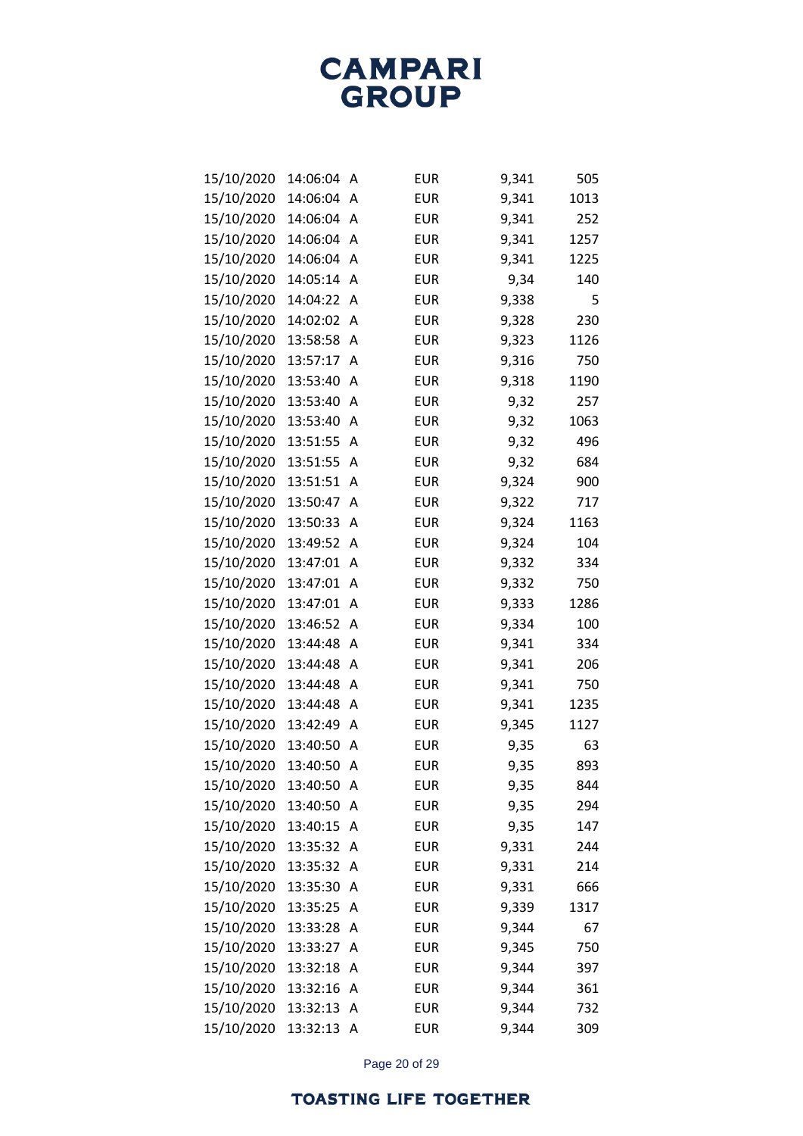| 15/10/2020 | 14:06:04 | Α | <b>EUR</b> | 9,341 | 505  |
|------------|----------|---|------------|-------|------|
| 15/10/2020 | 14:06:04 | A | <b>EUR</b> | 9,341 | 1013 |
| 15/10/2020 | 14:06:04 | A | <b>EUR</b> | 9,341 | 252  |
| 15/10/2020 | 14:06:04 | A | <b>EUR</b> | 9,341 | 1257 |
| 15/10/2020 | 14:06:04 | A | <b>EUR</b> | 9,341 | 1225 |
| 15/10/2020 | 14:05:14 | A | <b>EUR</b> | 9,34  | 140  |
| 15/10/2020 | 14:04:22 | A | <b>EUR</b> | 9,338 | 5    |
| 15/10/2020 | 14:02:02 | А | <b>EUR</b> | 9,328 | 230  |
| 15/10/2020 | 13:58:58 | А | <b>EUR</b> | 9,323 | 1126 |
| 15/10/2020 | 13:57:17 | А | <b>EUR</b> | 9,316 | 750  |
| 15/10/2020 | 13:53:40 | A | <b>EUR</b> | 9,318 | 1190 |
| 15/10/2020 | 13:53:40 | А | <b>EUR</b> | 9,32  | 257  |
| 15/10/2020 | 13:53:40 | Α | <b>EUR</b> | 9,32  | 1063 |
| 15/10/2020 | 13:51:55 | А | <b>EUR</b> | 9,32  | 496  |
| 15/10/2020 | 13:51:55 | A | <b>EUR</b> | 9,32  | 684  |
| 15/10/2020 | 13:51:51 | А | <b>EUR</b> | 9,324 | 900  |
| 15/10/2020 | 13:50:47 | А | <b>EUR</b> | 9,322 | 717  |
| 15/10/2020 | 13:50:33 | А | <b>EUR</b> | 9,324 | 1163 |
| 15/10/2020 | 13:49:52 | А | <b>EUR</b> | 9,324 | 104  |
| 15/10/2020 | 13:47:01 | А | <b>EUR</b> | 9,332 | 334  |
| 15/10/2020 | 13:47:01 | А | <b>EUR</b> | 9,332 | 750  |
| 15/10/2020 | 13:47:01 | А | <b>EUR</b> | 9,333 | 1286 |
| 15/10/2020 | 13:46:52 | A | <b>EUR</b> | 9,334 | 100  |
| 15/10/2020 | 13:44:48 | А | <b>EUR</b> | 9,341 | 334  |
| 15/10/2020 | 13:44:48 | А | <b>EUR</b> | 9,341 | 206  |
| 15/10/2020 | 13:44:48 | А | <b>EUR</b> | 9,341 | 750  |
| 15/10/2020 | 13:44:48 | А | <b>EUR</b> | 9,341 | 1235 |
| 15/10/2020 | 13:42:49 | А | <b>EUR</b> | 9,345 | 1127 |
| 15/10/2020 | 13:40:50 | Α | <b>EUR</b> | 9,35  | 63   |
| 15/10/2020 | 13:40:50 | Α | <b>EUR</b> | 9,35  | 893  |
| 15/10/2020 | 13:40:50 | A | <b>EUR</b> | 9,35  | 844  |
| 15/10/2020 | 13:40:50 | Α | <b>EUR</b> | 9,35  | 294  |
| 15/10/2020 | 13:40:15 | Α | <b>EUR</b> | 9,35  | 147  |
| 15/10/2020 | 13:35:32 | Α | <b>EUR</b> | 9,331 | 244  |
| 15/10/2020 | 13:35:32 | Α | <b>EUR</b> | 9,331 | 214  |
| 15/10/2020 | 13:35:30 | Α | <b>EUR</b> | 9,331 | 666  |
| 15/10/2020 | 13:35:25 | Α | <b>EUR</b> | 9,339 | 1317 |
| 15/10/2020 | 13:33:28 | Α | <b>EUR</b> | 9,344 | 67   |
| 15/10/2020 | 13:33:27 | Α | <b>EUR</b> | 9,345 | 750  |
| 15/10/2020 | 13:32:18 | Α | <b>EUR</b> | 9,344 | 397  |
| 15/10/2020 | 13:32:16 | Α | <b>EUR</b> | 9,344 | 361  |
| 15/10/2020 | 13:32:13 | Α | <b>EUR</b> | 9,344 | 732  |
| 15/10/2020 | 13:32:13 | A | <b>EUR</b> | 9,344 | 309  |

Page 20 of 29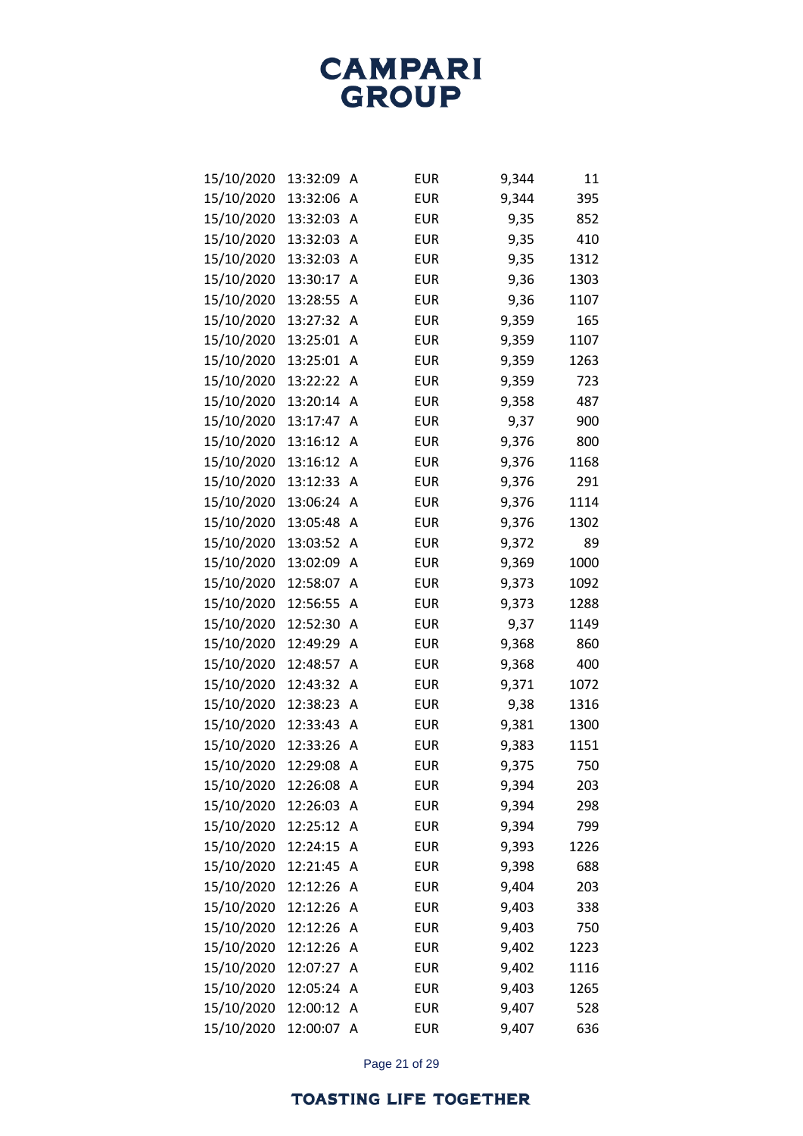| 15/10/2020 | 13:32:09 | Α | <b>EUR</b> | 9,344 | 11   |
|------------|----------|---|------------|-------|------|
| 15/10/2020 | 13:32:06 | А | <b>EUR</b> | 9,344 | 395  |
| 15/10/2020 | 13:32:03 | A | <b>EUR</b> | 9,35  | 852  |
| 15/10/2020 | 13:32:03 | А | <b>EUR</b> | 9,35  | 410  |
| 15/10/2020 | 13:32:03 | А | <b>EUR</b> | 9,35  | 1312 |
| 15/10/2020 | 13:30:17 | А | <b>EUR</b> | 9,36  | 1303 |
| 15/10/2020 | 13:28:55 | А | <b>EUR</b> | 9,36  | 1107 |
| 15/10/2020 | 13:27:32 | А | <b>EUR</b> | 9,359 | 165  |
| 15/10/2020 | 13:25:01 | А | <b>EUR</b> | 9,359 | 1107 |
| 15/10/2020 | 13:25:01 | А | <b>EUR</b> | 9,359 | 1263 |
| 15/10/2020 | 13:22:22 | А | <b>EUR</b> | 9,359 | 723  |
| 15/10/2020 | 13:20:14 | А | <b>EUR</b> | 9,358 | 487  |
| 15/10/2020 | 13:17:47 | Α | <b>EUR</b> | 9,37  | 900  |
| 15/10/2020 | 13:16:12 | А | <b>EUR</b> | 9,376 | 800  |
| 15/10/2020 | 13:16:12 | А | <b>EUR</b> | 9,376 | 1168 |
| 15/10/2020 | 13:12:33 | А | <b>EUR</b> | 9,376 | 291  |
| 15/10/2020 | 13:06:24 | А | <b>EUR</b> | 9,376 | 1114 |
| 15/10/2020 | 13:05:48 | А | <b>EUR</b> | 9,376 | 1302 |
| 15/10/2020 | 13:03:52 | А | <b>EUR</b> | 9,372 | 89   |
| 15/10/2020 | 13:02:09 | А | <b>EUR</b> | 9,369 | 1000 |
| 15/10/2020 | 12:58:07 | А | <b>EUR</b> | 9,373 | 1092 |
| 15/10/2020 | 12:56:55 | А | <b>EUR</b> | 9,373 | 1288 |
| 15/10/2020 | 12:52:30 | Α | <b>EUR</b> | 9,37  | 1149 |
| 15/10/2020 | 12:49:29 | А | <b>EUR</b> | 9,368 | 860  |
| 15/10/2020 | 12:48:57 | А | <b>EUR</b> | 9,368 | 400  |
| 15/10/2020 | 12:43:32 | А | <b>EUR</b> | 9,371 | 1072 |
| 15/10/2020 | 12:38:23 | А | <b>EUR</b> | 9,38  | 1316 |
| 15/10/2020 | 12:33:43 | А | <b>EUR</b> | 9,381 | 1300 |
| 15/10/2020 | 12:33:26 | А | <b>EUR</b> | 9,383 | 1151 |
| 15/10/2020 | 12:29:08 | Α | <b>EUR</b> | 9,375 | 750  |
| 15/10/2020 | 12:26:08 | Α | <b>EUR</b> | 9,394 | 203  |
| 15/10/2020 | 12:26:03 | А | <b>EUR</b> | 9,394 | 298  |
| 15/10/2020 | 12:25:12 | Α | <b>EUR</b> | 9,394 | 799  |
| 15/10/2020 | 12:24:15 | Α | <b>EUR</b> | 9,393 | 1226 |
| 15/10/2020 | 12:21:45 | Α | <b>EUR</b> | 9,398 | 688  |
| 15/10/2020 | 12:12:26 | Α | <b>EUR</b> | 9,404 | 203  |
| 15/10/2020 | 12:12:26 | Α | <b>EUR</b> | 9,403 | 338  |
| 15/10/2020 | 12:12:26 | Α | <b>EUR</b> | 9,403 | 750  |
| 15/10/2020 | 12:12:26 | Α | <b>EUR</b> | 9,402 | 1223 |
| 15/10/2020 | 12:07:27 | Α | <b>EUR</b> | 9,402 | 1116 |
| 15/10/2020 | 12:05:24 | Α | <b>EUR</b> | 9,403 | 1265 |
| 15/10/2020 | 12:00:12 | Α | <b>EUR</b> | 9,407 | 528  |
| 15/10/2020 | 12:00:07 | A | <b>EUR</b> | 9,407 | 636  |

Page 21 of 29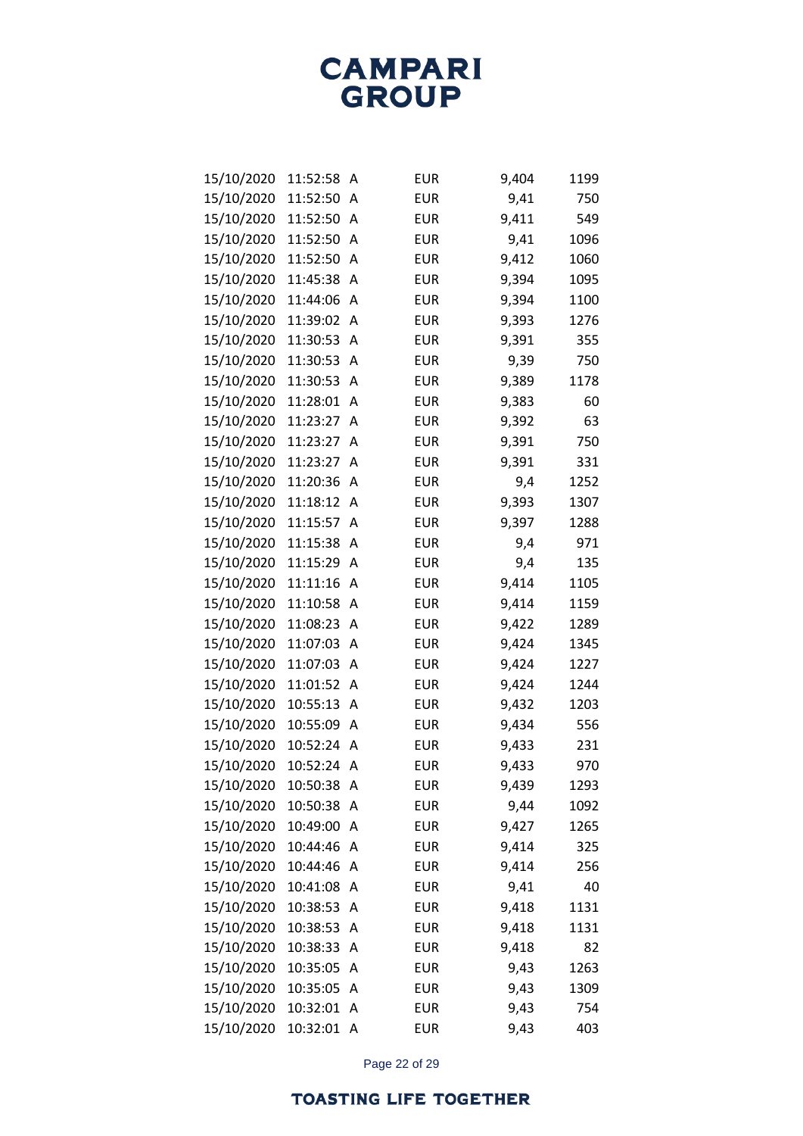| 15/10/2020 | 11:52:58   | A | <b>EUR</b> | 9,404 | 1199 |
|------------|------------|---|------------|-------|------|
| 15/10/2020 | 11:52:50   | A | <b>EUR</b> | 9,41  | 750  |
| 15/10/2020 | 11:52:50   | A | <b>EUR</b> | 9,411 | 549  |
| 15/10/2020 | 11:52:50   | А | <b>EUR</b> | 9,41  | 1096 |
| 15/10/2020 | 11:52:50   | А | <b>EUR</b> | 9,412 | 1060 |
| 15/10/2020 | 11:45:38   | A | <b>EUR</b> | 9,394 | 1095 |
| 15/10/2020 | 11:44:06   | A | <b>EUR</b> | 9,394 | 1100 |
| 15/10/2020 | 11:39:02   | А | <b>EUR</b> | 9,393 | 1276 |
| 15/10/2020 | 11:30:53   | Α | <b>EUR</b> | 9,391 | 355  |
| 15/10/2020 | 11:30:53   | А | <b>EUR</b> | 9,39  | 750  |
| 15/10/2020 | 11:30:53   | Α | <b>EUR</b> | 9,389 | 1178 |
| 15/10/2020 | 11:28:01   | А | <b>EUR</b> | 9,383 | 60   |
| 15/10/2020 | 11:23:27   | Α | <b>EUR</b> | 9,392 | 63   |
| 15/10/2020 | 11:23:27   | А | <b>EUR</b> | 9,391 | 750  |
| 15/10/2020 | 11:23:27   | A | <b>EUR</b> | 9,391 | 331  |
| 15/10/2020 | 11:20:36   | А | <b>EUR</b> | 9,4   | 1252 |
| 15/10/2020 | 11:18:12   | Α | <b>EUR</b> | 9,393 | 1307 |
| 15/10/2020 | 11:15:57   | А | <b>EUR</b> | 9,397 | 1288 |
| 15/10/2020 | 11:15:38   | Α | <b>EUR</b> | 9,4   | 971  |
| 15/10/2020 | 11:15:29   | А | <b>EUR</b> | 9,4   | 135  |
| 15/10/2020 | 11:11:16   | Α | <b>EUR</b> | 9,414 | 1105 |
| 15/10/2020 | 11:10:58   | А | <b>EUR</b> | 9,414 | 1159 |
| 15/10/2020 | 11:08:23   | Α | <b>EUR</b> | 9,422 | 1289 |
| 15/10/2020 | 11:07:03   | А | <b>EUR</b> | 9,424 | 1345 |
| 15/10/2020 | 11:07:03   | Α | <b>EUR</b> | 9,424 | 1227 |
| 15/10/2020 | 11:01:52   | А | <b>EUR</b> | 9,424 | 1244 |
| 15/10/2020 | 10:55:13   | Α | <b>EUR</b> | 9,432 | 1203 |
| 15/10/2020 | 10:55:09   | А | <b>EUR</b> | 9,434 | 556  |
| 15/10/2020 | 10:52:24   | А | <b>EUR</b> | 9,433 | 231  |
| 15/10/2020 | 10:52:24   | А | <b>EUR</b> | 9,433 | 970  |
| 15/10/2020 | 10:50:38   | Α | <b>EUR</b> | 9,439 | 1293 |
| 15/10/2020 | 10:50:38   | А | <b>EUR</b> | 9,44  | 1092 |
| 15/10/2020 | 10:49:00   | Α | <b>EUR</b> | 9,427 | 1265 |
| 15/10/2020 | 10:44:46   | Α | <b>EUR</b> | 9,414 | 325  |
| 15/10/2020 | 10:44:46   | Α | <b>EUR</b> | 9,414 | 256  |
| 15/10/2020 | 10:41:08   | Α | <b>EUR</b> | 9,41  | 40   |
| 15/10/2020 | 10:38:53   | Α | <b>EUR</b> | 9,418 | 1131 |
| 15/10/2020 | 10:38:53   | Α | <b>EUR</b> | 9,418 | 1131 |
| 15/10/2020 | 10:38:33   | Α | <b>EUR</b> | 9,418 | 82   |
| 15/10/2020 | 10:35:05   | А | <b>EUR</b> | 9,43  | 1263 |
| 15/10/2020 | 10:35:05   | Α | <b>EUR</b> | 9,43  | 1309 |
| 15/10/2020 | 10:32:01   | Α | <b>EUR</b> | 9,43  | 754  |
| 15/10/2020 | 10:32:01 A |   | <b>EUR</b> | 9,43  | 403  |

Page 22 of 29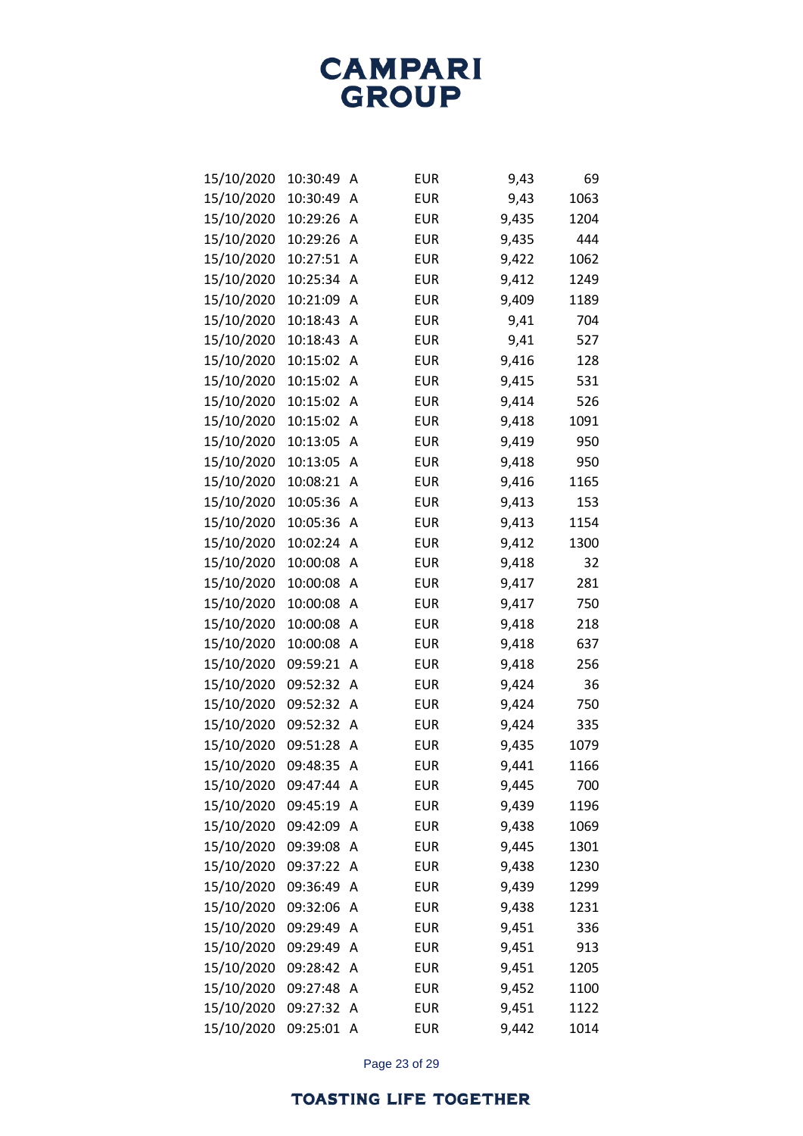| 15/10/2020 | 10:30:49 | А | <b>EUR</b> | 9,43  | 69   |
|------------|----------|---|------------|-------|------|
| 15/10/2020 | 10:30:49 | А | <b>EUR</b> | 9,43  | 1063 |
| 15/10/2020 | 10:29:26 | А | <b>EUR</b> | 9,435 | 1204 |
| 15/10/2020 | 10:29:26 | А | <b>EUR</b> | 9,435 | 444  |
| 15/10/2020 | 10:27:51 | А | <b>EUR</b> | 9,422 | 1062 |
| 15/10/2020 | 10:25:34 | А | <b>EUR</b> | 9,412 | 1249 |
| 15/10/2020 | 10:21:09 | А | <b>EUR</b> | 9,409 | 1189 |
| 15/10/2020 | 10:18:43 | А | <b>EUR</b> | 9,41  | 704  |
| 15/10/2020 | 10:18:43 | Α | <b>EUR</b> | 9,41  | 527  |
| 15/10/2020 | 10:15:02 | А | <b>EUR</b> | 9,416 | 128  |
| 15/10/2020 | 10:15:02 | А | <b>EUR</b> | 9,415 | 531  |
| 15/10/2020 | 10:15:02 | А | <b>EUR</b> | 9,414 | 526  |
| 15/10/2020 | 10:15:02 | А | <b>EUR</b> | 9,418 | 1091 |
| 15/10/2020 | 10:13:05 | А | <b>EUR</b> | 9,419 | 950  |
| 15/10/2020 | 10:13:05 | Α | <b>EUR</b> | 9,418 | 950  |
| 15/10/2020 | 10:08:21 | А | <b>EUR</b> | 9,416 | 1165 |
| 15/10/2020 | 10:05:36 | Α | <b>EUR</b> | 9,413 | 153  |
| 15/10/2020 | 10:05:36 | А | <b>EUR</b> | 9,413 | 1154 |
| 15/10/2020 | 10:02:24 | А | <b>EUR</b> | 9,412 | 1300 |
| 15/10/2020 | 10:00:08 | А | <b>EUR</b> | 9,418 | 32   |
| 15/10/2020 | 10:00:08 | Α | <b>EUR</b> | 9,417 | 281  |
| 15/10/2020 | 10:00:08 | А | <b>EUR</b> | 9,417 | 750  |
| 15/10/2020 | 10:00:08 | А | <b>EUR</b> | 9,418 | 218  |
| 15/10/2020 | 10:00:08 | А | <b>EUR</b> | 9,418 | 637  |
| 15/10/2020 | 09:59:21 | А | <b>EUR</b> | 9,418 | 256  |
| 15/10/2020 | 09:52:32 | А | <b>EUR</b> | 9,424 | 36   |
| 15/10/2020 | 09:52:32 | А | <b>EUR</b> | 9,424 | 750  |
| 15/10/2020 | 09:52:32 | А | <b>EUR</b> | 9,424 | 335  |
| 15/10/2020 | 09:51:28 | Α | <b>EUR</b> | 9,435 | 1079 |
| 15/10/2020 | 09:48:35 | Α | <b>EUR</b> | 9,441 | 1166 |
| 15/10/2020 | 09:47:44 | Α | <b>EUR</b> | 9,445 | 700  |
| 15/10/2020 | 09:45:19 | А | <b>EUR</b> | 9,439 | 1196 |
| 15/10/2020 | 09:42:09 | Α | <b>EUR</b> | 9,438 | 1069 |
| 15/10/2020 | 09:39:08 | Α | <b>EUR</b> | 9,445 | 1301 |
| 15/10/2020 | 09:37:22 | Α | <b>EUR</b> | 9,438 | 1230 |
| 15/10/2020 | 09:36:49 | А | <b>EUR</b> | 9,439 | 1299 |
| 15/10/2020 | 09:32:06 | A | <b>EUR</b> | 9,438 | 1231 |
| 15/10/2020 | 09:29:49 | Α | <b>EUR</b> | 9,451 | 336  |
| 15/10/2020 | 09:29:49 | A | <b>EUR</b> | 9,451 | 913  |
| 15/10/2020 | 09:28:42 | Α | <b>EUR</b> | 9,451 | 1205 |
| 15/10/2020 | 09:27:48 | Α | <b>EUR</b> | 9,452 | 1100 |
| 15/10/2020 | 09:27:32 | Α | <b>EUR</b> | 9,451 | 1122 |
| 15/10/2020 | 09:25:01 | Α | <b>EUR</b> | 9,442 | 1014 |

Page 23 of 29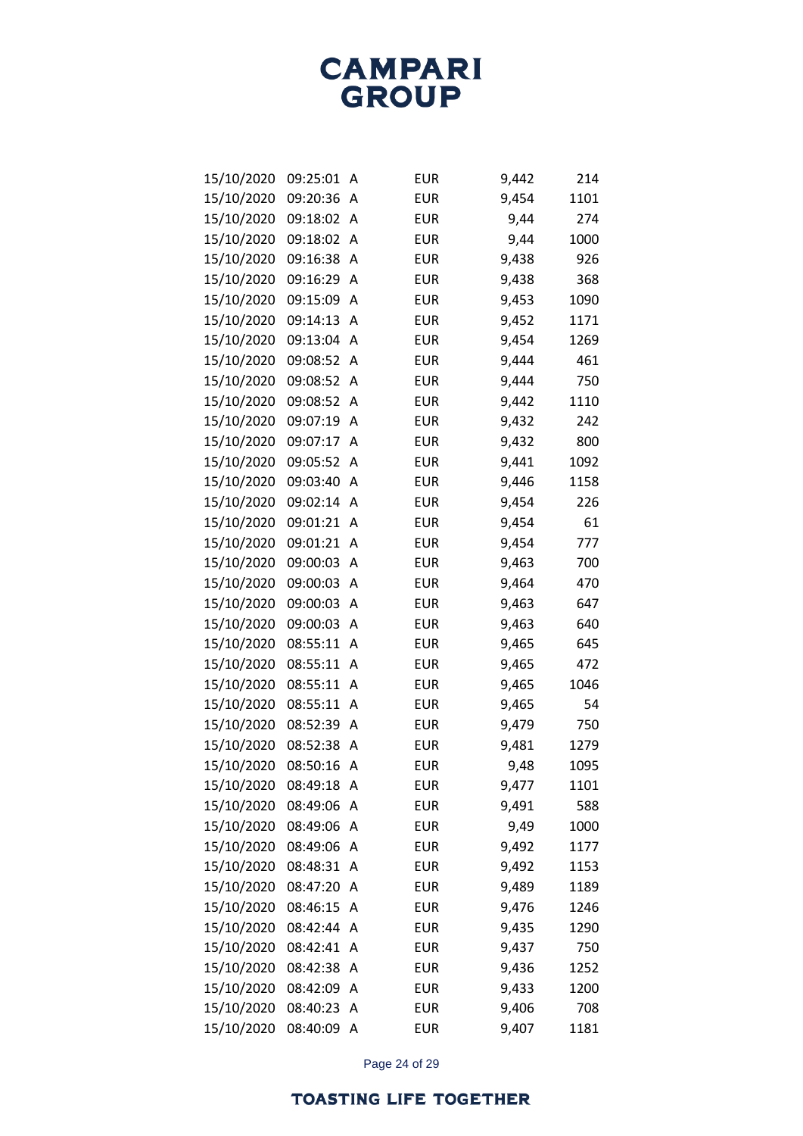| 15/10/2020 | 09:25:01 | А | <b>EUR</b> | 9,442 | 214  |
|------------|----------|---|------------|-------|------|
| 15/10/2020 | 09:20:36 | А | <b>EUR</b> | 9,454 | 1101 |
| 15/10/2020 | 09:18:02 | А | <b>EUR</b> | 9,44  | 274  |
| 15/10/2020 | 09:18:02 | А | <b>EUR</b> | 9,44  | 1000 |
| 15/10/2020 | 09:16:38 | А | <b>EUR</b> | 9,438 | 926  |
| 15/10/2020 | 09:16:29 | А | <b>EUR</b> | 9,438 | 368  |
| 15/10/2020 | 09:15:09 | Α | <b>EUR</b> | 9,453 | 1090 |
| 15/10/2020 | 09:14:13 | А | <b>EUR</b> | 9,452 | 1171 |
| 15/10/2020 | 09:13:04 | Α | <b>EUR</b> | 9,454 | 1269 |
| 15/10/2020 | 09:08:52 | А | <b>EUR</b> | 9,444 | 461  |
| 15/10/2020 | 09:08:52 | А | <b>EUR</b> | 9,444 | 750  |
| 15/10/2020 | 09:08:52 | А | <b>EUR</b> | 9,442 | 1110 |
| 15/10/2020 | 09:07:19 | Α | <b>EUR</b> | 9,432 | 242  |
| 15/10/2020 | 09:07:17 | А | <b>EUR</b> | 9,432 | 800  |
| 15/10/2020 | 09:05:52 | А | <b>EUR</b> | 9,441 | 1092 |
| 15/10/2020 | 09:03:40 | А | <b>EUR</b> | 9,446 | 1158 |
| 15/10/2020 | 09:02:14 | Α | <b>EUR</b> | 9,454 | 226  |
| 15/10/2020 | 09:01:21 | А | <b>EUR</b> | 9,454 | 61   |
| 15/10/2020 | 09:01:21 | А | <b>EUR</b> | 9,454 | 777  |
| 15/10/2020 | 09:00:03 | А | <b>EUR</b> | 9,463 | 700  |
| 15/10/2020 | 09:00:03 | Α | <b>EUR</b> | 9,464 | 470  |
| 15/10/2020 | 09:00:03 | А | <b>EUR</b> | 9,463 | 647  |
| 15/10/2020 | 09:00:03 | А | <b>EUR</b> | 9,463 | 640  |
| 15/10/2020 | 08:55:11 | А | <b>EUR</b> | 9,465 | 645  |
| 15/10/2020 | 08:55:11 | А | <b>EUR</b> | 9,465 | 472  |
| 15/10/2020 | 08:55:11 | А | <b>EUR</b> | 9,465 | 1046 |
| 15/10/2020 | 08:55:11 | А | <b>EUR</b> | 9,465 | 54   |
| 15/10/2020 | 08:52:39 | А | <b>EUR</b> | 9,479 | 750  |
| 15/10/2020 | 08:52:38 | А | <b>EUR</b> | 9,481 | 1279 |
| 15/10/2020 | 08:50:16 | Α | <b>EUR</b> | 9,48  | 1095 |
| 15/10/2020 | 08:49:18 | Α | <b>EUR</b> | 9,477 | 1101 |
| 15/10/2020 | 08:49:06 | Α | <b>EUR</b> | 9,491 | 588  |
| 15/10/2020 | 08:49:06 | Α | <b>EUR</b> | 9,49  | 1000 |
| 15/10/2020 | 08:49:06 | Α | <b>EUR</b> | 9,492 | 1177 |
| 15/10/2020 | 08:48:31 | Α | <b>EUR</b> | 9,492 | 1153 |
| 15/10/2020 | 08:47:20 | Α | <b>EUR</b> | 9,489 | 1189 |
| 15/10/2020 | 08:46:15 | Α | <b>EUR</b> | 9,476 | 1246 |
| 15/10/2020 | 08:42:44 | Α | <b>EUR</b> | 9,435 | 1290 |
| 15/10/2020 | 08:42:41 | Α | <b>EUR</b> | 9,437 | 750  |
| 15/10/2020 | 08:42:38 | Α | <b>EUR</b> | 9,436 | 1252 |
| 15/10/2020 | 08:42:09 | Α | <b>EUR</b> | 9,433 | 1200 |
| 15/10/2020 | 08:40:23 | Α | <b>EUR</b> | 9,406 | 708  |
| 15/10/2020 | 08:40:09 | A | <b>EUR</b> | 9,407 | 1181 |

Page 24 of 29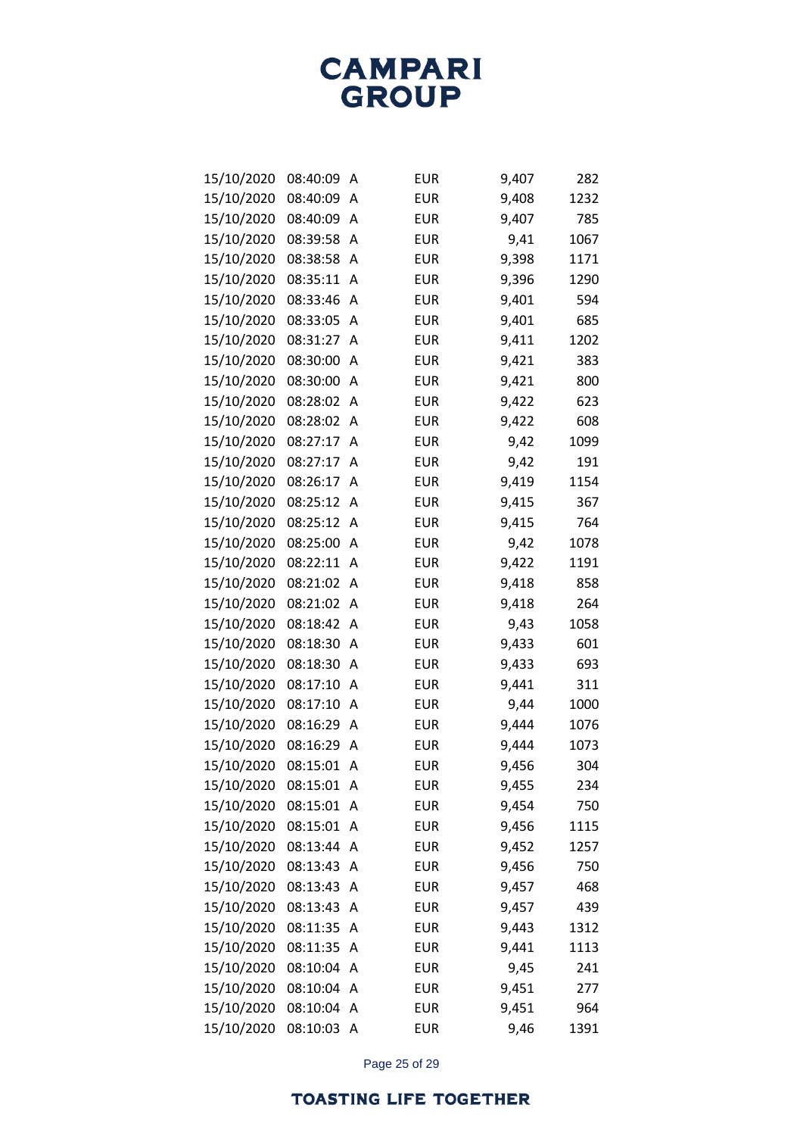**CAMPARI**<br>GROUP

| 15/10/2020 | 08:40:09 | Α | <b>EUR</b> | 9,407 | 282  |
|------------|----------|---|------------|-------|------|
| 15/10/2020 | 08:40:09 | Α | <b>EUR</b> | 9,408 | 1232 |
| 15/10/2020 | 08:40:09 | Α | <b>EUR</b> | 9,407 | 785  |
| 15/10/2020 | 08:39:58 | А | <b>EUR</b> | 9,41  | 1067 |
| 15/10/2020 | 08:38:58 | Α | <b>EUR</b> | 9,398 | 1171 |
| 15/10/2020 | 08:35:11 | A | <b>EUR</b> | 9,396 | 1290 |
| 15/10/2020 | 08:33:46 | Α | <b>EUR</b> | 9,401 | 594  |
| 15/10/2020 | 08:33:05 | А | <b>EUR</b> | 9,401 | 685  |
| 15/10/2020 | 08:31:27 | Α | <b>EUR</b> | 9,411 | 1202 |
| 15/10/2020 | 08:30:00 | A | <b>EUR</b> | 9,421 | 383  |
| 15/10/2020 | 08:30:00 | Α | <b>EUR</b> | 9,421 | 800  |
| 15/10/2020 | 08:28:02 | Α | <b>EUR</b> | 9,422 | 623  |
| 15/10/2020 | 08:28:02 | Α | <b>EUR</b> | 9,422 | 608  |
| 15/10/2020 | 08:27:17 | Α | <b>EUR</b> | 9,42  | 1099 |
| 15/10/2020 | 08:27:17 | Α | <b>EUR</b> | 9,42  | 191  |
| 15/10/2020 | 08:26:17 | Α | <b>EUR</b> | 9,419 | 1154 |
| 15/10/2020 | 08:25:12 | Α | <b>EUR</b> | 9,415 | 367  |
| 15/10/2020 | 08:25:12 | A | <b>EUR</b> | 9,415 | 764  |
| 15/10/2020 | 08:25:00 | Α | <b>EUR</b> | 9,42  | 1078 |
| 15/10/2020 | 08:22:11 | A | <b>EUR</b> | 9,422 | 1191 |
| 15/10/2020 | 08:21:02 | Α | <b>EUR</b> | 9,418 | 858  |
| 15/10/2020 | 08:21:02 | A | <b>EUR</b> | 9,418 | 264  |
| 15/10/2020 | 08:18:42 | Α | <b>EUR</b> | 9,43  | 1058 |
| 15/10/2020 | 08:18:30 | Α | <b>EUR</b> | 9,433 | 601  |
| 15/10/2020 | 08:18:30 | Α | <b>EUR</b> | 9,433 | 693  |
| 15/10/2020 | 08:17:10 | A | <b>EUR</b> | 9,441 | 311  |
| 15/10/2020 | 08:17:10 | Α | <b>EUR</b> | 9,44  | 1000 |
| 15/10/2020 | 08:16:29 | A | <b>EUR</b> | 9,444 | 1076 |
| 15/10/2020 | 08:16:29 | Α | <b>EUR</b> | 9,444 | 1073 |
| 15/10/2020 | 08:15:01 | Α | <b>EUR</b> | 9,456 | 304  |
| 15/10/2020 | 08:15:01 | Α | <b>EUR</b> | 9,455 | 234  |
| 15/10/2020 | 08:15:01 | A | <b>EUR</b> | 9,454 | 750  |
| 15/10/2020 | 08:15:01 | Α | <b>EUR</b> | 9,456 | 1115 |
| 15/10/2020 | 08:13:44 | А | <b>EUR</b> | 9,452 | 1257 |
| 15/10/2020 | 08:13:43 | Α | <b>EUR</b> | 9,456 | 750  |
| 15/10/2020 | 08:13:43 | А | <b>EUR</b> | 9,457 | 468  |
| 15/10/2020 | 08:13:43 | Α | <b>EUR</b> | 9,457 | 439  |
| 15/10/2020 | 08:11:35 | А | <b>EUR</b> | 9,443 | 1312 |
| 15/10/2020 | 08:11:35 | Α | <b>EUR</b> | 9,441 | 1113 |
| 15/10/2020 | 08:10:04 | А | <b>EUR</b> | 9,45  | 241  |
| 15/10/2020 | 08:10:04 | Α | <b>EUR</b> | 9,451 | 277  |
| 15/10/2020 | 08:10:04 | А | <b>EUR</b> | 9,451 | 964  |
| 15/10/2020 | 08:10:03 | A | <b>EUR</b> | 9,46  | 1391 |

Page 25 of 29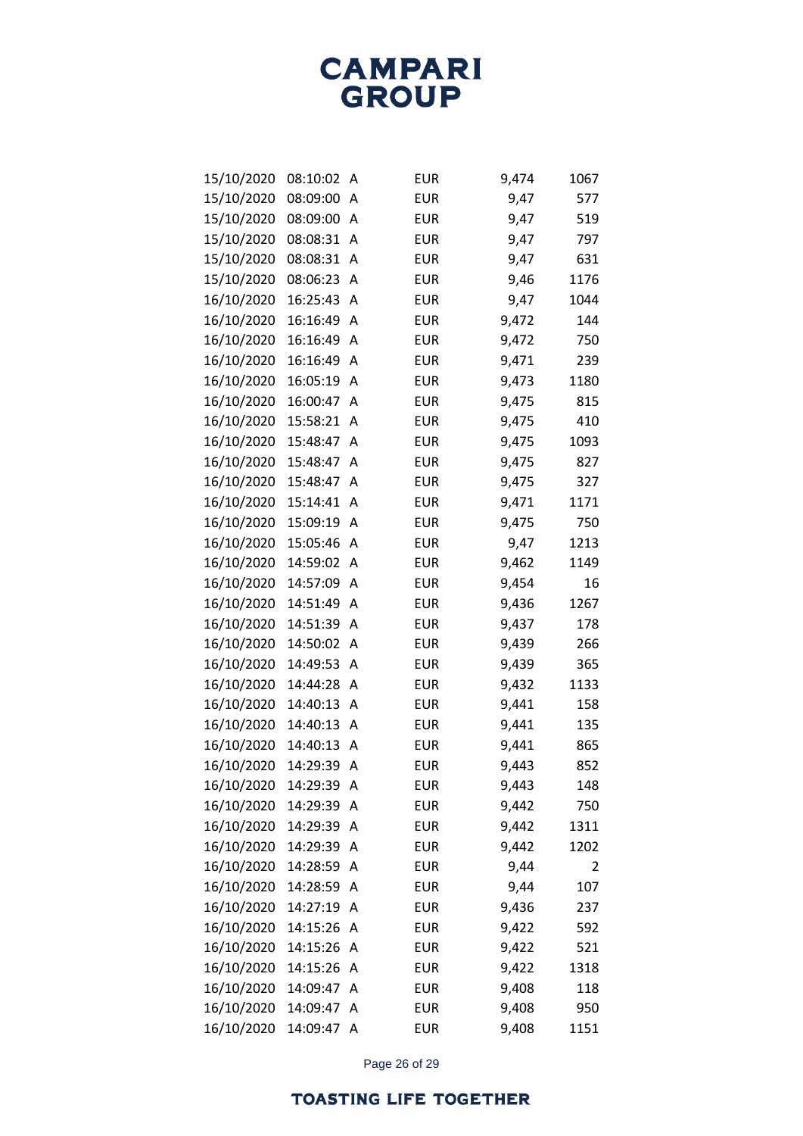| 15/10/2020 | 08:10:02 | А | <b>EUR</b> | 9,474 | 1067 |
|------------|----------|---|------------|-------|------|
| 15/10/2020 | 08:09:00 | A | <b>EUR</b> | 9,47  | 577  |
| 15/10/2020 | 08:09:00 | A | <b>EUR</b> | 9,47  | 519  |
| 15/10/2020 | 08:08:31 | А | <b>EUR</b> | 9,47  | 797  |
| 15/10/2020 | 08:08:31 | А | <b>EUR</b> | 9,47  | 631  |
| 15/10/2020 | 08:06:23 | А | <b>EUR</b> | 9,46  | 1176 |
| 16/10/2020 | 16:25:43 | А | <b>EUR</b> | 9,47  | 1044 |
| 16/10/2020 | 16:16:49 | А | <b>EUR</b> | 9,472 | 144  |
| 16/10/2020 | 16:16:49 | Α | <b>EUR</b> | 9,472 | 750  |
| 16/10/2020 | 16:16:49 | А | <b>EUR</b> | 9,471 | 239  |
| 16/10/2020 | 16:05:19 | А | <b>EUR</b> | 9,473 | 1180 |
| 16/10/2020 | 16:00:47 | А | <b>EUR</b> | 9,475 | 815  |
| 16/10/2020 | 15:58:21 | Α | <b>EUR</b> | 9,475 | 410  |
| 16/10/2020 | 15:48:47 | А | <b>EUR</b> | 9,475 | 1093 |
| 16/10/2020 | 15:48:47 | Α | <b>EUR</b> | 9,475 | 827  |
| 16/10/2020 | 15:48:47 | А | <b>EUR</b> | 9,475 | 327  |
| 16/10/2020 | 15:14:41 | Α | <b>EUR</b> | 9,471 | 1171 |
| 16/10/2020 | 15:09:19 | А | <b>EUR</b> | 9,475 | 750  |
| 16/10/2020 | 15:05:46 | Α | <b>EUR</b> | 9,47  | 1213 |
| 16/10/2020 | 14:59:02 | А | <b>EUR</b> | 9,462 | 1149 |
| 16/10/2020 | 14:57:09 | Α | <b>EUR</b> | 9,454 | 16   |
| 16/10/2020 | 14:51:49 | А | <b>EUR</b> | 9,436 | 1267 |
| 16/10/2020 | 14:51:39 | А | <b>EUR</b> | 9,437 | 178  |
| 16/10/2020 | 14:50:02 | Α | <b>EUR</b> | 9,439 | 266  |
| 16/10/2020 | 14:49:53 | Α | <b>EUR</b> | 9,439 | 365  |
| 16/10/2020 | 14:44:28 | Α | <b>EUR</b> | 9,432 | 1133 |
| 16/10/2020 | 14:40:13 | А | <b>EUR</b> | 9,441 | 158  |
| 16/10/2020 | 14:40:13 | А | <b>EUR</b> | 9,441 | 135  |
| 16/10/2020 | 14:40:13 | А | <b>EUR</b> | 9,441 | 865  |
| 16/10/2020 | 14:29:39 | Α | <b>EUR</b> | 9,443 | 852  |
| 16/10/2020 | 14:29:39 | Α | <b>EUR</b> | 9,443 | 148  |
| 16/10/2020 | 14:29:39 | А | <b>EUR</b> | 9,442 | 750  |
| 16/10/2020 | 14:29:39 | Α | <b>EUR</b> | 9,442 | 1311 |
| 16/10/2020 | 14:29:39 | Α | <b>EUR</b> | 9,442 | 1202 |
| 16/10/2020 | 14:28:59 | Α | <b>EUR</b> | 9,44  | 2    |
| 16/10/2020 | 14:28:59 | Α | <b>EUR</b> | 9,44  | 107  |
| 16/10/2020 | 14:27:19 | Α | <b>EUR</b> | 9,436 | 237  |
| 16/10/2020 | 14:15:26 | Α | <b>EUR</b> | 9,422 | 592  |
| 16/10/2020 | 14:15:26 | Α | <b>EUR</b> | 9,422 | 521  |
| 16/10/2020 | 14:15:26 | Α | <b>EUR</b> | 9,422 | 1318 |
| 16/10/2020 | 14:09:47 | Α | <b>EUR</b> | 9,408 | 118  |
| 16/10/2020 | 14:09:47 | Α | <b>EUR</b> | 9,408 | 950  |
| 16/10/2020 | 14:09:47 | Α | <b>EUR</b> | 9,408 | 1151 |

Page 26 of 29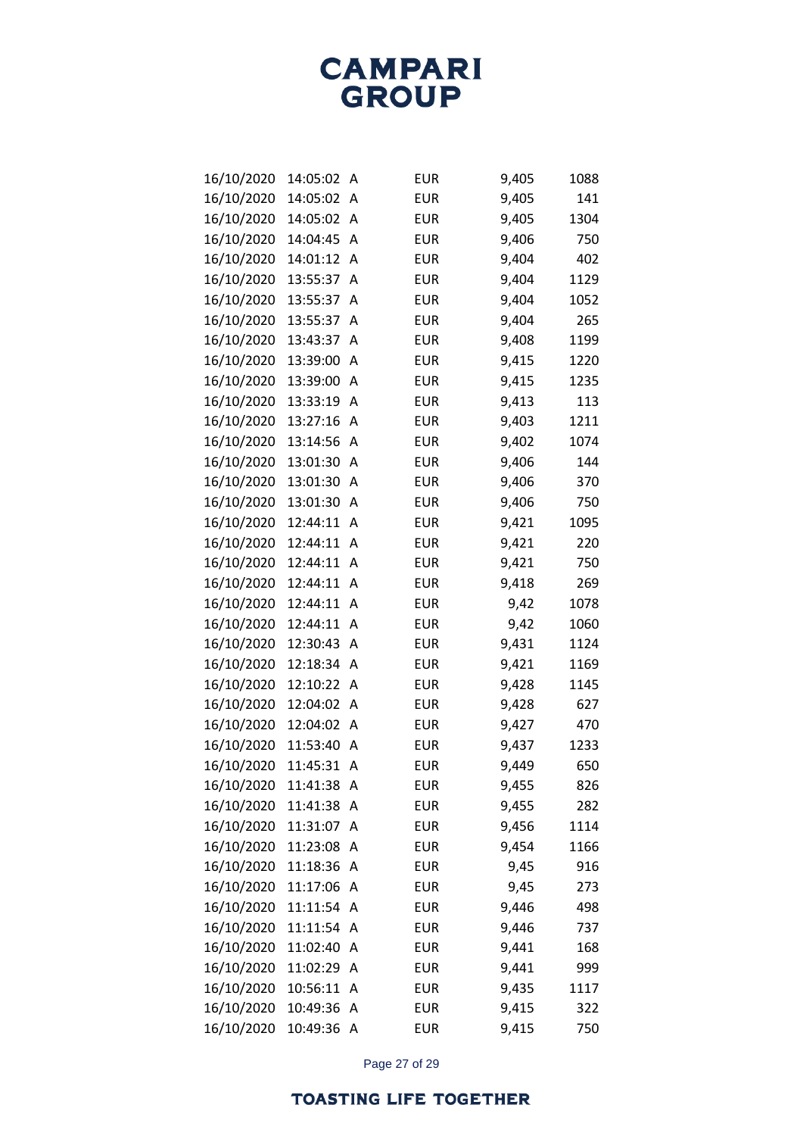**CAMPARI**<br>GROUP

| 16/10/2020 | 14:05:02 | A | <b>EUR</b> | 9,405 | 1088 |
|------------|----------|---|------------|-------|------|
| 16/10/2020 | 14:05:02 | Α | <b>EUR</b> | 9,405 | 141  |
| 16/10/2020 | 14:05:02 | A | <b>EUR</b> | 9,405 | 1304 |
| 16/10/2020 | 14:04:45 | A | <b>EUR</b> | 9,406 | 750  |
| 16/10/2020 | 14:01:12 | A | <b>EUR</b> | 9,404 | 402  |
| 16/10/2020 | 13:55:37 | A | <b>EUR</b> | 9,404 | 1129 |
| 16/10/2020 | 13:55:37 | A | <b>EUR</b> | 9,404 | 1052 |
| 16/10/2020 | 13:55:37 | Α | <b>EUR</b> | 9,404 | 265  |
| 16/10/2020 | 13:43:37 | A | <b>EUR</b> | 9,408 | 1199 |
| 16/10/2020 | 13:39:00 | A | <b>EUR</b> | 9,415 | 1220 |
| 16/10/2020 | 13:39:00 | A | <b>EUR</b> | 9,415 | 1235 |
| 16/10/2020 | 13:33:19 | A | <b>EUR</b> | 9,413 | 113  |
| 16/10/2020 | 13:27:16 | Α | <b>EUR</b> | 9,403 | 1211 |
| 16/10/2020 | 13:14:56 | A | <b>EUR</b> | 9,402 | 1074 |
| 16/10/2020 | 13:01:30 | A | <b>EUR</b> | 9,406 | 144  |
| 16/10/2020 | 13:01:30 | Α | <b>EUR</b> | 9,406 | 370  |
| 16/10/2020 | 13:01:30 | A | <b>EUR</b> | 9,406 | 750  |
| 16/10/2020 | 12:44:11 | A | <b>EUR</b> | 9,421 | 1095 |
| 16/10/2020 | 12:44:11 | A | <b>EUR</b> | 9,421 | 220  |
| 16/10/2020 | 12:44:11 | Α | <b>EUR</b> | 9,421 | 750  |
| 16/10/2020 | 12:44:11 | A | <b>EUR</b> | 9,418 | 269  |
| 16/10/2020 | 12:44:11 | A | <b>EUR</b> | 9,42  | 1078 |
| 16/10/2020 | 12:44:11 | Α | <b>EUR</b> | 9,42  | 1060 |
| 16/10/2020 | 12:30:43 | Α | <b>EUR</b> | 9,431 | 1124 |
| 16/10/2020 | 12:18:34 | Α | <b>EUR</b> | 9,421 | 1169 |
| 16/10/2020 | 12:10:22 | A | <b>EUR</b> | 9,428 | 1145 |
| 16/10/2020 | 12:04:02 | Α | <b>EUR</b> | 9,428 | 627  |
| 16/10/2020 | 12:04:02 | Α | <b>EUR</b> | 9,427 | 470  |
| 16/10/2020 | 11:53:40 | A | <b>EUR</b> | 9,437 | 1233 |
| 16/10/2020 | 11:45:31 | Α | <b>EUR</b> | 9,449 | 650  |
| 16/10/2020 | 11:41:38 | Α | <b>EUR</b> | 9,455 | 826  |
| 16/10/2020 | 11:41:38 | Α | <b>EUR</b> | 9,455 | 282  |
| 16/10/2020 | 11:31:07 | Α | <b>EUR</b> | 9,456 | 1114 |
| 16/10/2020 | 11:23:08 | Α | <b>EUR</b> | 9,454 | 1166 |
| 16/10/2020 | 11:18:36 | Α | <b>EUR</b> | 9,45  | 916  |
| 16/10/2020 | 11:17:06 | Α | <b>EUR</b> | 9,45  | 273  |
| 16/10/2020 | 11:11:54 | Α | <b>EUR</b> | 9,446 | 498  |
| 16/10/2020 | 11:11:54 | Α | <b>EUR</b> | 9,446 | 737  |
| 16/10/2020 | 11:02:40 | Α | <b>EUR</b> | 9,441 | 168  |
| 16/10/2020 | 11:02:29 | Α | <b>EUR</b> | 9,441 | 999  |
| 16/10/2020 | 10:56:11 | Α | <b>EUR</b> | 9,435 | 1117 |
| 16/10/2020 | 10:49:36 | Α | <b>EUR</b> | 9,415 | 322  |
| 16/10/2020 | 10:49:36 | A | <b>EUR</b> | 9,415 | 750  |

Page 27 of 29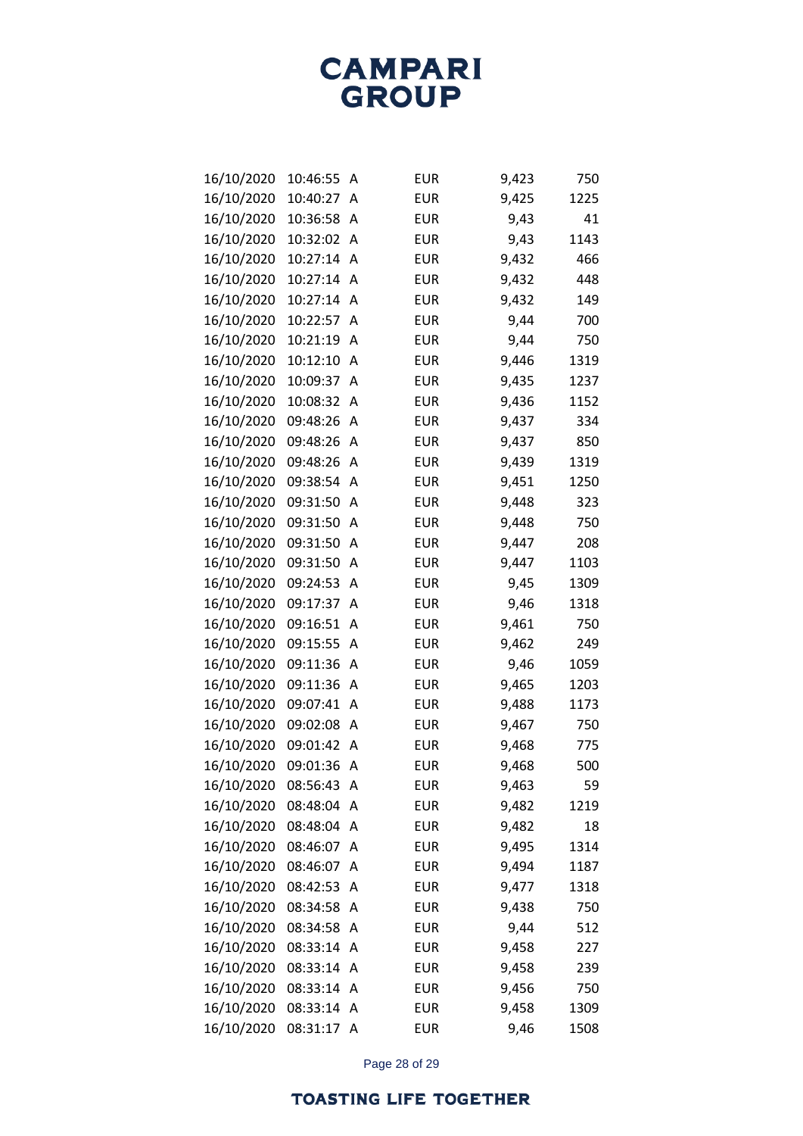| 16/10/2020 | 10:46:55 | Α | <b>EUR</b> | 9,423 | 750  |
|------------|----------|---|------------|-------|------|
| 16/10/2020 | 10:40:27 | A | <b>EUR</b> | 9,425 | 1225 |
| 16/10/2020 | 10:36:58 | Α | <b>EUR</b> | 9,43  | 41   |
| 16/10/2020 | 10:32:02 | Α | <b>EUR</b> | 9,43  | 1143 |
| 16/10/2020 | 10:27:14 | Α | <b>EUR</b> | 9,432 | 466  |
| 16/10/2020 | 10:27:14 | A | <b>EUR</b> | 9,432 | 448  |
| 16/10/2020 | 10:27:14 | Α | <b>EUR</b> | 9,432 | 149  |
| 16/10/2020 | 10:22:57 | Α | <b>EUR</b> | 9,44  | 700  |
| 16/10/2020 | 10:21:19 | Α | <b>EUR</b> | 9,44  | 750  |
| 16/10/2020 | 10:12:10 | Α | <b>EUR</b> | 9,446 | 1319 |
| 16/10/2020 | 10:09:37 | Α | <b>EUR</b> | 9,435 | 1237 |
| 16/10/2020 | 10:08:32 | Α | <b>EUR</b> | 9,436 | 1152 |
| 16/10/2020 | 09:48:26 | Α | <b>EUR</b> | 9,437 | 334  |
| 16/10/2020 | 09:48:26 | Α | <b>EUR</b> | 9,437 | 850  |
| 16/10/2020 | 09:48:26 | Α | <b>EUR</b> | 9,439 | 1319 |
| 16/10/2020 | 09:38:54 | Α | <b>EUR</b> | 9,451 | 1250 |
| 16/10/2020 | 09:31:50 | Α | <b>EUR</b> | 9,448 | 323  |
| 16/10/2020 | 09:31:50 | Α | <b>EUR</b> | 9,448 | 750  |
| 16/10/2020 | 09:31:50 | Α | <b>EUR</b> | 9,447 | 208  |
| 16/10/2020 | 09:31:50 | Α | <b>EUR</b> | 9,447 | 1103 |
| 16/10/2020 | 09:24:53 | Α | <b>EUR</b> | 9,45  | 1309 |
| 16/10/2020 | 09:17:37 | Α | <b>EUR</b> | 9,46  | 1318 |
| 16/10/2020 | 09:16:51 | Α | <b>EUR</b> | 9,461 | 750  |
| 16/10/2020 | 09:15:55 | Α | <b>EUR</b> | 9,462 | 249  |
| 16/10/2020 | 09:11:36 | Α | <b>EUR</b> | 9,46  | 1059 |
| 16/10/2020 | 09:11:36 | Α | <b>EUR</b> | 9,465 | 1203 |
| 16/10/2020 | 09:07:41 | Α | <b>EUR</b> | 9,488 | 1173 |
| 16/10/2020 | 09:02:08 | Α | <b>EUR</b> | 9,467 | 750  |
| 16/10/2020 | 09:01:42 | Α | <b>EUR</b> | 9,468 | 775  |
| 16/10/2020 | 09:01:36 | Α | <b>EUR</b> | 9,468 | 500  |
| 16/10/2020 | 08:56:43 | Α | <b>EUR</b> | 9,463 | 59   |
| 16/10/2020 | 08:48:04 | Α | <b>EUR</b> | 9,482 | 1219 |
| 16/10/2020 | 08:48:04 | Α | <b>EUR</b> | 9,482 | 18   |
| 16/10/2020 | 08:46:07 | Α | <b>EUR</b> | 9,495 | 1314 |
| 16/10/2020 | 08:46:07 | Α | <b>EUR</b> | 9,494 | 1187 |
| 16/10/2020 | 08:42:53 | Α | <b>EUR</b> | 9,477 | 1318 |
| 16/10/2020 | 08:34:58 | Α | <b>EUR</b> | 9,438 | 750  |
| 16/10/2020 | 08:34:58 | Α | <b>EUR</b> | 9,44  | 512  |
| 16/10/2020 | 08:33:14 | Α | <b>EUR</b> | 9,458 | 227  |
| 16/10/2020 | 08:33:14 | Α | <b>EUR</b> | 9,458 | 239  |
| 16/10/2020 | 08:33:14 | Α | <b>EUR</b> | 9,456 | 750  |
| 16/10/2020 | 08:33:14 | A | <b>EUR</b> | 9,458 | 1309 |
| 16/10/2020 | 08:31:17 | Α | <b>EUR</b> | 9,46  | 1508 |

Page 28 of 29